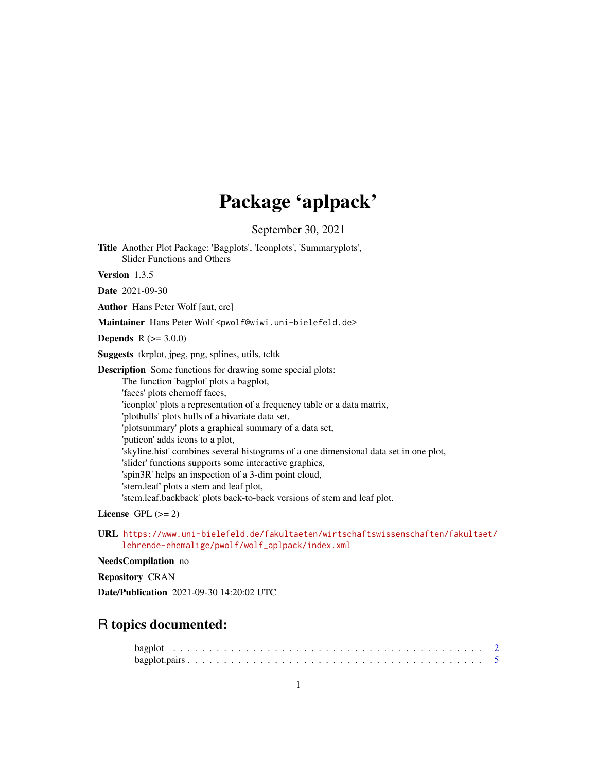## Package 'aplpack'

September 30, 2021

<span id="page-0-0"></span>Title Another Plot Package: 'Bagplots', 'Iconplots', 'Summaryplots', Slider Functions and Others

Version 1.3.5

Date 2021-09-30

Author Hans Peter Wolf [aut, cre]

Maintainer Hans Peter Wolf <pwolf@wiwi.uni-bielefeld.de>

**Depends**  $R (= 3.0.0)$ 

Suggests tkrplot, jpeg, png, splines, utils, tcltk

Description Some functions for drawing some special plots: The function 'bagplot' plots a bagplot, 'faces' plots chernoff faces, 'iconplot' plots a representation of a frequency table or a data matrix, 'plothulls' plots hulls of a bivariate data set, 'plotsummary' plots a graphical summary of a data set, 'puticon' adds icons to a plot, 'skyline.hist' combines several histograms of a one dimensional data set in one plot, 'slider' functions supports some interactive graphics, 'spin3R' helps an inspection of a 3-dim point cloud, 'stem.leaf' plots a stem and leaf plot, 'stem.leaf.backback' plots back-to-back versions of stem and leaf plot.

License GPL  $(>= 2)$ 

URL [https://www.uni-bielefeld.de/fakultaeten/wirtschaftswissenschaften/fakultaet/](https://www.uni-bielefeld.de/fakultaeten/wirtschaftswissenschaften/fakultaet/lehrende-ehemalige/pwolf/wolf_aplpack/index.xml) [lehrende-ehemalige/pwolf/wolf\\_aplpack/index.xml](https://www.uni-bielefeld.de/fakultaeten/wirtschaftswissenschaften/fakultaet/lehrende-ehemalige/pwolf/wolf_aplpack/index.xml)

#### NeedsCompilation no

Repository CRAN

Date/Publication 2021-09-30 14:20:02 UTC

## R topics documented: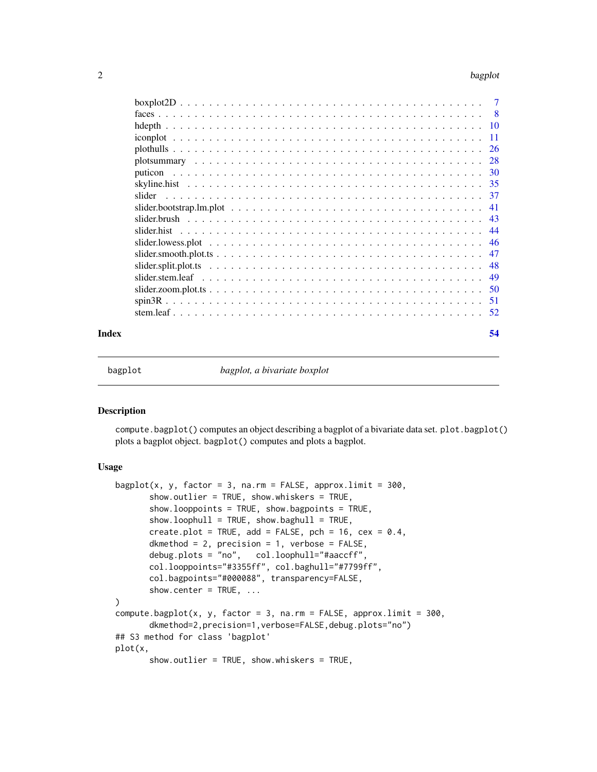#### <span id="page-1-0"></span>2 bagplot that the control of the control of the control of the control of the control of the control of the control of the control of the control of the control of the control of the control of the control of the control

| - 8 |
|-----|
|     |
| -11 |
| -26 |
| 28  |
|     |
|     |
| -37 |
| 41  |
|     |
|     |
|     |
| 47  |
| 48  |
| 49  |
| 50  |
| 51  |
| 52  |
|     |

#### **Index** [54](#page-53-0)

<span id="page-1-1"></span>

bagplot *bagplot, a bivariate boxplot*

#### Description

compute.bagplot() computes an object describing a bagplot of a bivariate data set. plot.bagplot() plots a bagplot object. bagplot() computes and plots a bagplot.

## Usage

```
bagplot(x, y, factor = 3, na.rm = FALSE, approx.limit = 300,
       show.outlier = TRUE, show.whiskers = TRUE,
       show.looppoints = TRUE, show.bagpoints = TRUE,
       show. loophull = TRUE, show.baghull = TRUE,create.plot = TRUE, add = FALSE, pch = 16, cex = 0.4,
       dkmethod = 2, precision = 1, verbose = FALSE,
       debug.plots = "no", col.loophull="#aaccff",
       col.looppoints="#3355ff", col.baghull="#7799ff",
       col.bagpoints="#000088", transparency=FALSE,
       show.center = TRUE, ...
)
compute.bagplot(x, y, factor = 3, na.rm = FALSE, approx.limit = 300,
       dkmethod=2,precision=1,verbose=FALSE,debug.plots="no")
## S3 method for class 'bagplot'
plot(x,
       show.outlier = TRUE, show.whiskers = TRUE,
```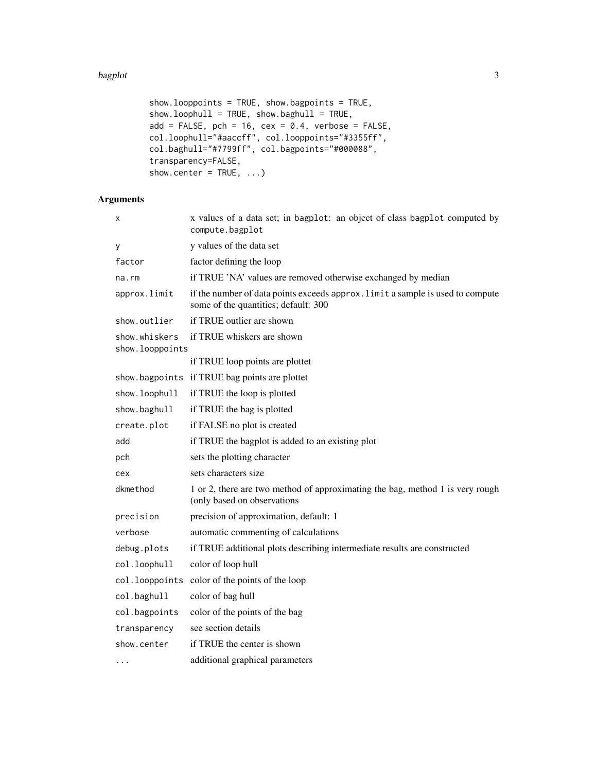#### bagplot 3

```
show.looppoints = TRUE, show.bagpoints = TRUE,
show. loophull = TRUE, show.baghull = TRUE,add = FALSE, pch = 16, cex = 0.4, verbose = FALSE,col.loophull="#aaccff", col.looppoints="#3355ff",
col.baghull="#7799ff", col.bagpoints="#000088",
transparency=FALSE,
show.center = TRUE, ...)
```

| x                                | x values of a data set; in bagplot: an object of class bagplot computed by<br>compute.bagplot                          |
|----------------------------------|------------------------------------------------------------------------------------------------------------------------|
| у                                | y values of the data set                                                                                               |
| factor                           | factor defining the loop                                                                                               |
| $na$ . $rm$                      | if TRUE 'NA' values are removed otherwise exchanged by median                                                          |
| approx.limit                     | if the number of data points exceeds approx. limit a sample is used to compute<br>some of the quantities; default: 300 |
| show.outlier                     | if TRUE outlier are shown                                                                                              |
| show.whiskers<br>show.looppoints | if TRUE whiskers are shown                                                                                             |
|                                  | if TRUE loop points are plottet                                                                                        |
| show.bagpoints                   | if TRUE bag points are plottet                                                                                         |
| show.loophull                    | if TRUE the loop is plotted                                                                                            |
| show.baghull                     | if TRUE the bag is plotted                                                                                             |
| create.plot                      | if FALSE no plot is created                                                                                            |
| add                              | if TRUE the bagplot is added to an existing plot                                                                       |
| pch                              | sets the plotting character                                                                                            |
| cex                              | sets characters size                                                                                                   |
| dkmethod                         | 1 or 2, there are two method of approximating the bag, method 1 is very rough<br>(only based on observations           |
| precision                        | precision of approximation, default: 1                                                                                 |
| verbose                          | automatic commenting of calculations                                                                                   |
| debug.plots                      | if TRUE additional plots describing intermediate results are constructed                                               |
| col.loophull                     | color of loop hull                                                                                                     |
| col.looppoints                   | color of the points of the loop                                                                                        |
| col.baghull                      | color of bag hull                                                                                                      |
| col.bagpoints                    | color of the points of the bag                                                                                         |
| transparency                     | see section details                                                                                                    |
| show.center                      | if TRUE the center is shown                                                                                            |
| $\cdots$                         | additional graphical parameters                                                                                        |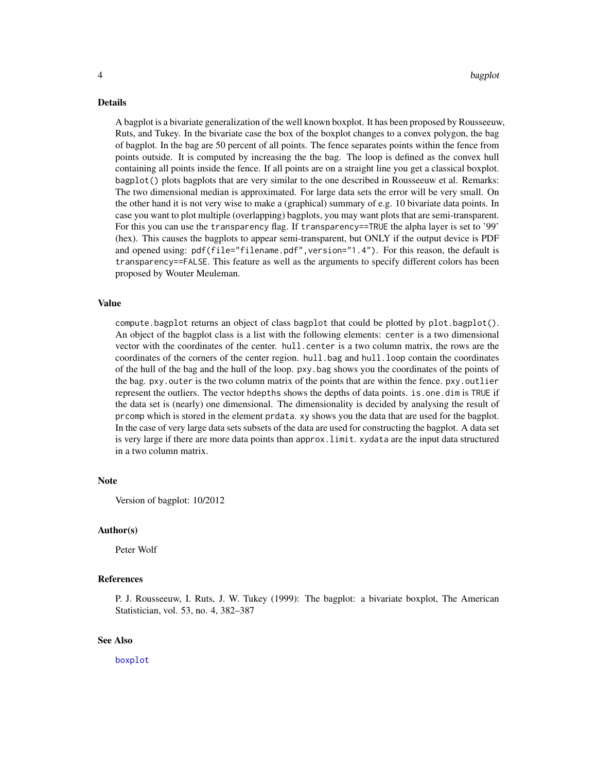#### <span id="page-3-0"></span>Details

A bagplot is a bivariate generalization of the well known boxplot. It has been proposed by Rousseeuw, Ruts, and Tukey. In the bivariate case the box of the boxplot changes to a convex polygon, the bag of bagplot. In the bag are 50 percent of all points. The fence separates points within the fence from points outside. It is computed by increasing the the bag. The loop is defined as the convex hull containing all points inside the fence. If all points are on a straight line you get a classical boxplot. bagplot() plots bagplots that are very similar to the one described in Rousseeuw et al. Remarks: The two dimensional median is approximated. For large data sets the error will be very small. On the other hand it is not very wise to make a (graphical) summary of e.g. 10 bivariate data points. In case you want to plot multiple (overlapping) bagplots, you may want plots that are semi-transparent. For this you can use the transparency flag. If transparency==TRUE the alpha layer is set to '99' (hex). This causes the bagplots to appear semi-transparent, but ONLY if the output device is PDF and opened using: pdf(file="filename.pdf", version="1.4"). For this reason, the default is transparency==FALSE. This feature as well as the arguments to specify different colors has been proposed by Wouter Meuleman.

#### Value

compute.bagplot returns an object of class bagplot that could be plotted by plot.bagplot(). An object of the bagplot class is a list with the following elements: center is a two dimensional vector with the coordinates of the center. hull.center is a two column matrix, the rows are the coordinates of the corners of the center region. hull.bag and hull.loop contain the coordinates of the hull of the bag and the hull of the loop. pxy.bag shows you the coordinates of the points of the bag. pxy.outer is the two column matrix of the points that are within the fence. pxy.outlier represent the outliers. The vector hdepths shows the depths of data points. is.one.dim is TRUE if the data set is (nearly) one dimensional. The dimensionality is decided by analysing the result of prcomp which is stored in the element prdata. xy shows you the data that are used for the bagplot. In the case of very large data sets subsets of the data are used for constructing the bagplot. A data set is very large if there are more data points than approx.limit. xydata are the input data structured in a two column matrix.

#### **Note**

Version of bagplot: 10/2012

#### Author(s)

Peter Wolf

## References

P. J. Rousseeuw, I. Ruts, J. W. Tukey (1999): The bagplot: a bivariate boxplot, The American Statistician, vol. 53, no. 4, 382–387

#### See Also

[boxplot](#page-0-0)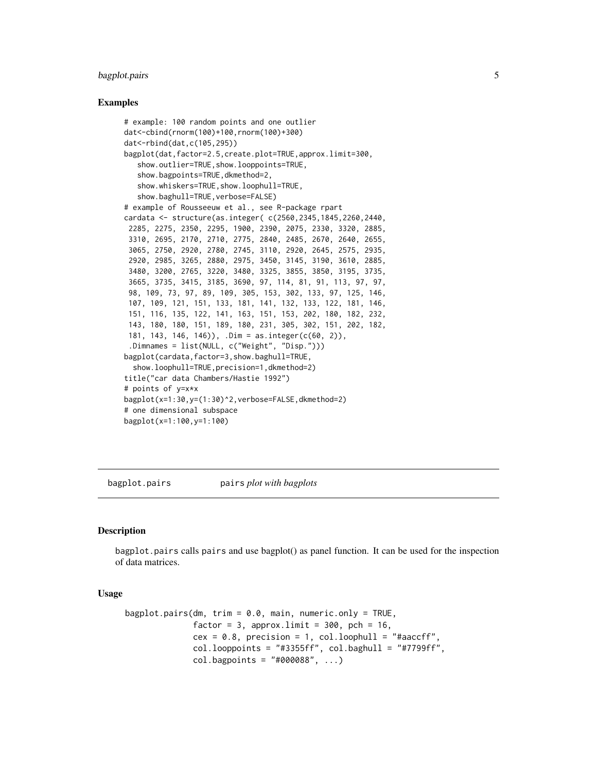## <span id="page-4-0"></span>bagplot.pairs 5

#### Examples

```
# example: 100 random points and one outlier
dat<-cbind(rnorm(100)+100,rnorm(100)+300)
dat<-rbind(dat,c(105,295))
bagplot(dat,factor=2.5,create.plot=TRUE,approx.limit=300,
   show.outlier=TRUE,show.looppoints=TRUE,
   show.bagpoints=TRUE,dkmethod=2,
   show.whiskers=TRUE,show.loophull=TRUE,
   show.baghull=TRUE, verbose=FALSE)
# example of Rousseeuw et al., see R-package rpart
cardata <- structure(as.integer( c(2560,2345,1845,2260,2440,
 2285, 2275, 2350, 2295, 1900, 2390, 2075, 2330, 3320, 2885,
 3310, 2695, 2170, 2710, 2775, 2840, 2485, 2670, 2640, 2655,
 3065, 2750, 2920, 2780, 2745, 3110, 2920, 2645, 2575, 2935,
 2920, 2985, 3265, 2880, 2975, 3450, 3145, 3190, 3610, 2885,
 3480, 3200, 2765, 3220, 3480, 3325, 3855, 3850, 3195, 3735,
 3665, 3735, 3415, 3185, 3690, 97, 114, 81, 91, 113, 97, 97,
 98, 109, 73, 97, 89, 109, 305, 153, 302, 133, 97, 125, 146,
 107, 109, 121, 151, 133, 181, 141, 132, 133, 122, 181, 146,
 151, 116, 135, 122, 141, 163, 151, 153, 202, 180, 182, 232,
 143, 180, 180, 151, 189, 180, 231, 305, 302, 151, 202, 182,
 181, 143, 146, 146)), .Dim = as.integer(c(60, 2)),
 .Dimnames = list(NULL, c("Weight", "Disp.")))
bagplot(cardata,factor=3,show.baghull=TRUE,
  show.loophull=TRUE,precision=1,dkmethod=2)
title("car data Chambers/Hastie 1992")
# points of y=x*x
bagplot(x=1:30,y=(1:30)^2,verbose=FALSE,dkmethod=2)
# one dimensional subspace
bagplot(x=1:100,y=1:100)
```
bagplot.pairs pairs *plot with bagplots*

#### Description

bagplot.pairs calls pairs and use bagplot() as panel function. It can be used for the inspection of data matrices.

#### Usage

```
bagplot.pairs(dm, trim = 0.0, main, numeric.only = TRUE,
              factor = 3, approx.limit = 300, pch = 16,
              cex = 0.8, precision = 1, col.loophull = "#aaccff",
              col. looppoints = "#3355ff", col.baghull = "#7799ff",col.bagpoints = "#000088", ...)
```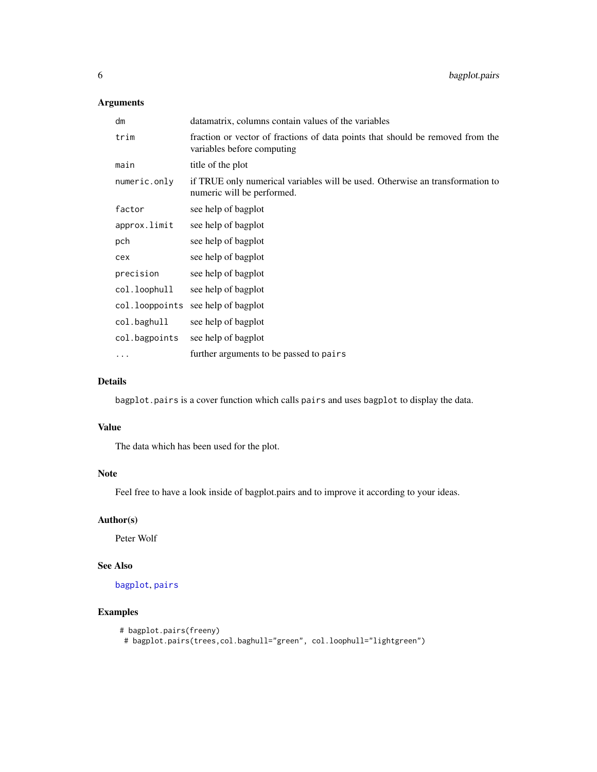## Arguments

| dm            | datamatrix, columns contain values of the variables                                                          |
|---------------|--------------------------------------------------------------------------------------------------------------|
| trim          | fraction or vector of fractions of data points that should be removed from the<br>variables before computing |
| main          | title of the plot                                                                                            |
| numeric.only  | if TRUE only numerical variables will be used. Otherwise an transformation to<br>numeric will be performed.  |
| factor        | see help of bagplot                                                                                          |
| approx.limit  | see help of bagplot                                                                                          |
| pch           | see help of bagplot                                                                                          |
| cex           | see help of bagplot                                                                                          |
| precision     | see help of bagplot                                                                                          |
| col.loophull  | see help of bagplot                                                                                          |
|               | col. looppoints see help of bagplot                                                                          |
| col.baghull   | see help of bagplot                                                                                          |
| col.bagpoints | see help of bagplot                                                                                          |
| $\cdots$      | further arguments to be passed to pairs                                                                      |

## Details

bagplot.pairs is a cover function which calls pairs and uses bagplot to display the data.

## Value

The data which has been used for the plot.

## Note

Feel free to have a look inside of bagplot.pairs and to improve it according to your ideas.

## Author(s)

Peter Wolf

## See Also

[bagplot](#page-1-1), [pairs](#page-0-0)

## Examples

```
# bagplot.pairs(freeny)
 # bagplot.pairs(trees,col.baghull="green", col.loophull="lightgreen")
```
<span id="page-5-0"></span>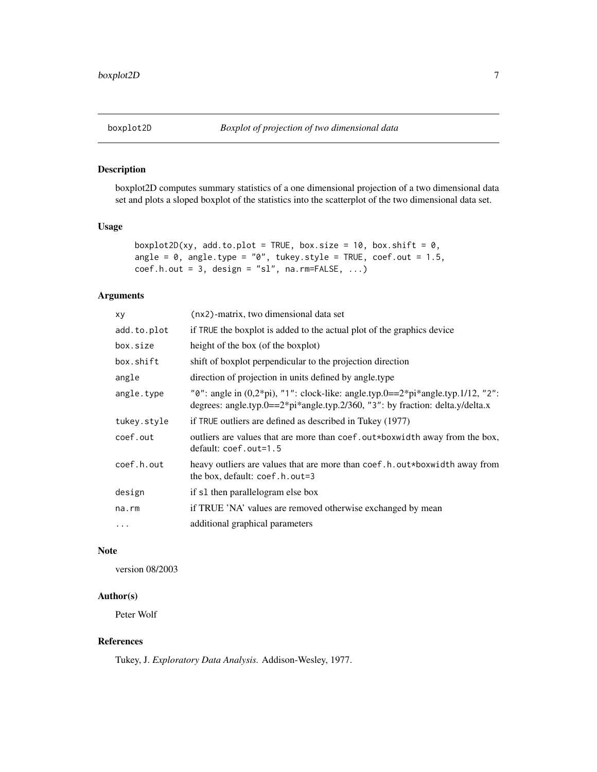<span id="page-6-0"></span>

### Description

boxplot2D computes summary statistics of a one dimensional projection of a two dimensional data set and plots a sloped boxplot of the statistics into the scatterplot of the two dimensional data set.

## Usage

```
boxplot2D(xy, add.to.plot = TRUE, box.size = 10, box.shift = 0,
angle = 0, angle.type = "0", tukey.style = TRUE, coef.out = 1.5,
coef.h.out = 3, design = "sl", na.rm=FALSE, ...)
```
## Arguments

| if TRUE the boxplot is added to the actual plot of the graphics device<br>height of the box (of the boxplot)<br>shift of boxplot perpendicular to the projection direction                |
|-------------------------------------------------------------------------------------------------------------------------------------------------------------------------------------------|
|                                                                                                                                                                                           |
|                                                                                                                                                                                           |
|                                                                                                                                                                                           |
| direction of projection in units defined by angle. type                                                                                                                                   |
| " $0$ ": angle in $(0,2^{*}pi)$ , "1": clock-like: angle.typ. $0 = 2^{*}pi^{*}$ angle.typ.1/12, "2":<br>degrees: angle.typ.0== $2*pi*angle.typ.2/360$ , "3": by fraction: delta.y/delta.x |
| if TRUE outliers are defined as described in Tukey (1977)                                                                                                                                 |
| outliers are values that are more than coef. out*boxwidth away from the box,<br>default: coef.out=1.5                                                                                     |
| heavy outliers are values that are more than coef.h.out*boxwidth away from<br>the box, default: coef.h.out=3                                                                              |
| if s1 then parallelogram else box                                                                                                                                                         |
| if TRUE 'NA' values are removed otherwise exchanged by mean                                                                                                                               |
| additional graphical parameters                                                                                                                                                           |
|                                                                                                                                                                                           |

#### Note

version 08/2003

## Author(s)

Peter Wolf

## References

Tukey, J. *Exploratory Data Analysis.* Addison-Wesley, 1977.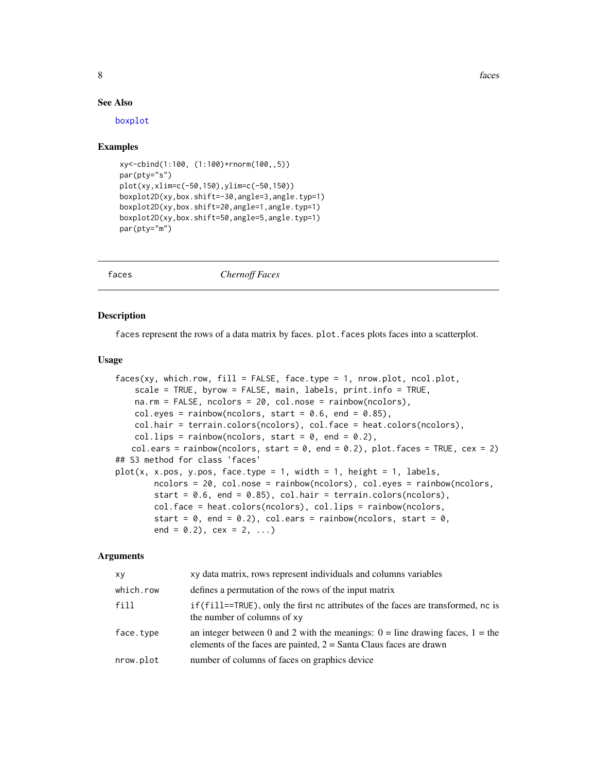8 faces and the set of the set of the set of the set of the set of the set of the set of the set of the set of the set of the set of the set of the set of the set of the set of the set of the set of the set of the set of t

#### See Also

[boxplot](#page-0-0)

#### Examples

```
xy<-cbind(1:100, (1:100)+rnorm(100,,5))
par(pty="s")
plot(xy,xlim=c(-50,150),ylim=c(-50,150))
boxplot2D(xy,box.shift=-30,angle=3,angle.typ=1)
boxplot2D(xy,box.shift=20,angle=1,angle.typ=1)
boxplot2D(xy,box.shift=50,angle=5,angle.typ=1)
par(pty="m")
```
faces *Chernoff Faces*

## **Description**

faces represent the rows of a data matrix by faces. plot.faces plots faces into a scatterplot.

#### Usage

```
faces(xy, which.row, fill = FALSE, face.type = 1, nrow.plot, ncol.plot,
   scale = TRUE, byrow = FALSE, main, labels, print.info = TRUE,
   na.rm = FALSE, ncolors = 20, col.nose = rainbow(ncolors),
   col.eyes = rainbow(ncolors, start = 0.6, end = 0.85),
   col.hair = terrain.colors(ncolors), col.face = heat.colors(ncolors),
   col.lips = rainbow(ncolors, start = 0, end = 0.2),
   col.ears = rainbow(ncolors, start = 0, end = 0.2), plot.faces = TRUE, cex = 2)
## S3 method for class 'faces'
plot(x, x.pos, y.pos, face-type = 1, width = 1, height = 1, labels,ncolors = 20, col.nose = rainbow(ncolors), col.eyes = rainbow(ncolors,
       start = 0.6, end = 0.85), col.hair = terrain.colors(ncolors),
       col.face = heat.colors(ncolors), col.lips = rainbow(ncolors,
       start = 0, end = 0.2), col.ears = rainbow(ncolors, start = 0,
       end = 0.2), cex = 2, ...
```

| XV        | xy data matrix, rows represent individuals and columns variables                                                                                          |
|-----------|-----------------------------------------------------------------------------------------------------------------------------------------------------------|
| which.row | defines a permutation of the rows of the input matrix                                                                                                     |
| fill      | if (fill==TRUE), only the first nc attributes of the faces are transformed, nc is<br>the number of columns of xy                                          |
| face.type | an integer between 0 and 2 with the meanings: $0 =$ line drawing faces, $1 =$ the<br>elements of the faces are painted, $2 =$ Santa Claus faces are drawn |
| nrow.plot | number of columns of faces on graphics device                                                                                                             |

<span id="page-7-0"></span>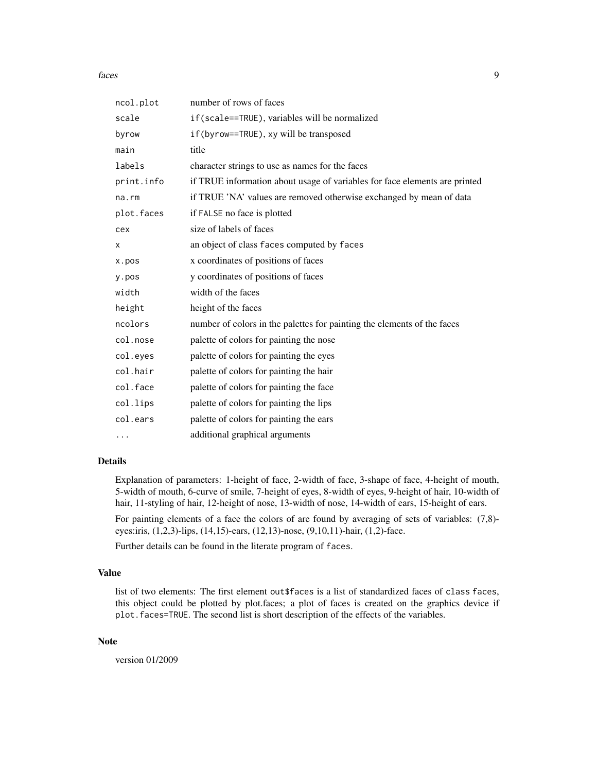#### faces and the set of the set of the set of the set of the set of the set of the set of the set of the set of the set of the set of the set of the set of the set of the set of the set of the set of the set of the set of the

| ncol.plot  | number of rows of faces                                                    |
|------------|----------------------------------------------------------------------------|
| scale      | if(scale==TRUE), variables will be normalized                              |
| byrow      | if(byrow==TRUE), xy will be transposed                                     |
| main       | title                                                                      |
| labels     | character strings to use as names for the faces                            |
| print.info | if TRUE information about usage of variables for face elements are printed |
| na.rm      | if TRUE 'NA' values are removed otherwise exchanged by mean of data        |
| plot.faces | if FALSE no face is plotted                                                |
| cex        | size of labels of faces                                                    |
| x          | an object of class faces computed by faces                                 |
| x.pos      | x coordinates of positions of faces                                        |
| y.pos      | y coordinates of positions of faces                                        |
| width      | width of the faces                                                         |
| height     | height of the faces                                                        |
| ncolors    | number of colors in the palettes for painting the elements of the faces    |
| col.nose   | palette of colors for painting the nose                                    |
| col.eyes   | palette of colors for painting the eyes                                    |
| col.hair   | palette of colors for painting the hair                                    |
| col.face   | palette of colors for painting the face                                    |
| col.lips   | palette of colors for painting the lips                                    |
| col.ears   | palette of colors for painting the ears                                    |
| $\cdots$   | additional graphical arguments                                             |

## Details

Explanation of parameters: 1-height of face, 2-width of face, 3-shape of face, 4-height of mouth, 5-width of mouth, 6-curve of smile, 7-height of eyes, 8-width of eyes, 9-height of hair, 10-width of hair, 11-styling of hair, 12-height of nose, 13-width of nose, 14-width of ears, 15-height of ears.

For painting elements of a face the colors of are found by averaging of sets of variables: (7,8) eyes:iris, (1,2,3)-lips, (14,15)-ears, (12,13)-nose, (9,10,11)-hair, (1,2)-face.

Further details can be found in the literate program of faces.

## Value

list of two elements: The first element out \$faces is a list of standardized faces of class faces, this object could be plotted by plot.faces; a plot of faces is created on the graphics device if plot.faces=TRUE. The second list is short description of the effects of the variables.

## Note

version 01/2009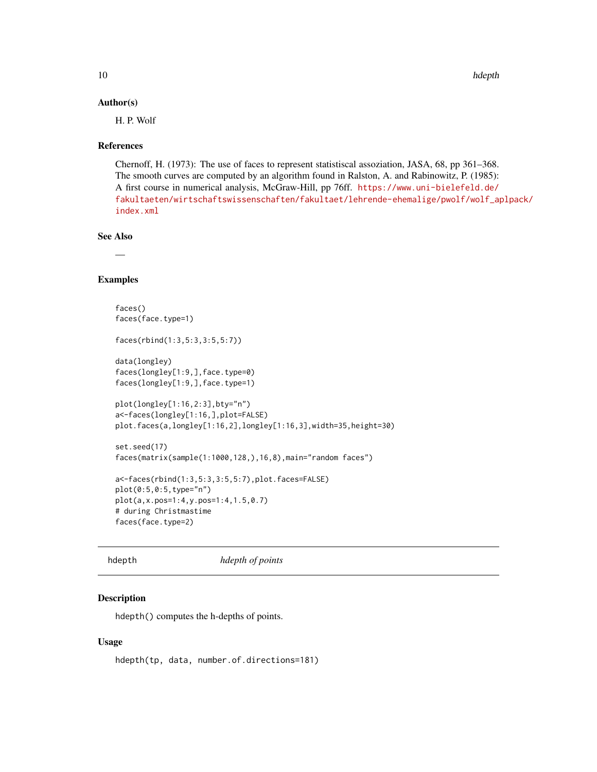#### <span id="page-9-0"></span>Author(s)

H. P. Wolf

#### References

Chernoff, H. (1973): The use of faces to represent statistiscal assoziation, JASA, 68, pp 361–368. The smooth curves are computed by an algorithm found in Ralston, A. and Rabinowitz, P. (1985): A first course in numerical analysis, McGraw-Hill, pp 76ff. [https://www.uni-bielefeld.de/](https://www.uni-bielefeld.de/fakultaeten/wirtschaftswissenschaften/fakultaet/lehrende-ehemalige/pwolf/wolf_aplpack/index.xml) [fakultaeten/wirtschaftswissenschaften/fakultaet/lehrende-ehemalige/pwolf/wolf\\_ap](https://www.uni-bielefeld.de/fakultaeten/wirtschaftswissenschaften/fakultaet/lehrende-ehemalige/pwolf/wolf_aplpack/index.xml)lpack/ [index.xml](https://www.uni-bielefeld.de/fakultaeten/wirtschaftswissenschaften/fakultaet/lehrende-ehemalige/pwolf/wolf_aplpack/index.xml)

## See Also

—

## Examples

```
faces()
faces(face.type=1)
faces(rbind(1:3,5:3,3:5,5:7))
data(longley)
faces(longley[1:9,],face.type=0)
faces(longley[1:9,],face.type=1)
plot(longley[1:16,2:3],bty="n")
a<-faces(longley[1:16,],plot=FALSE)
plot.faces(a,longley[1:16,2],longley[1:16,3],width=35,height=30)
set.seed(17)
faces(matrix(sample(1:1000,128,),16,8),main="random faces")
a<-faces(rbind(1:3,5:3,3:5,5:7),plot.faces=FALSE)
plot(0:5,0:5,type="n")
plot(a,x.pos=1:4,y.pos=1:4,1.5,0.7)
# during Christmastime
faces(face.type=2)
```
hdepth *hdepth of points*

## Description

hdepth() computes the h-depths of points.

## Usage

hdepth(tp, data, number.of.directions=181)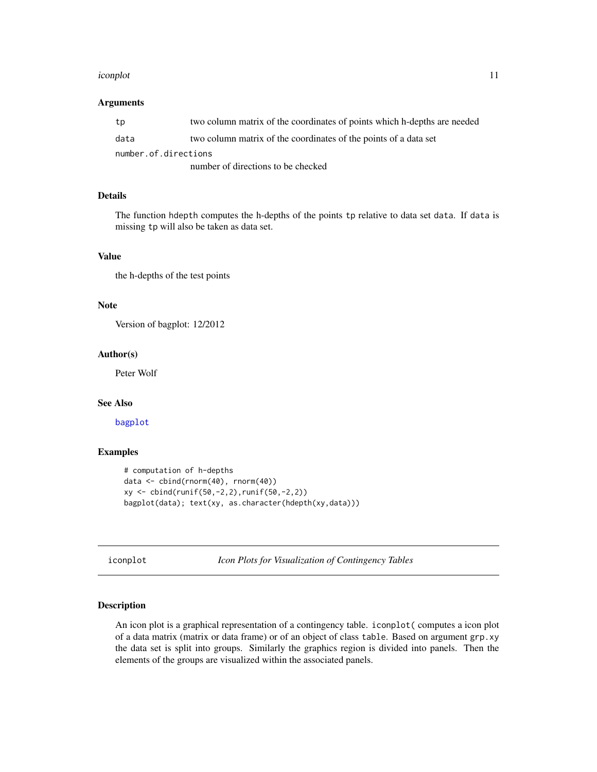#### <span id="page-10-0"></span>iconplot that is a set of the set of the set of the set of the set of the set of the set of the set of the set of the set of the set of the set of the set of the set of the set of the set of the set of the set of the set o

#### Arguments

| tp                                 | two column matrix of the coordinates of points which h-depths are needed |  |  |  |  |  |
|------------------------------------|--------------------------------------------------------------------------|--|--|--|--|--|
| data                               | two column matrix of the coordinates of the points of a data set         |  |  |  |  |  |
| number.of.directions               |                                                                          |  |  |  |  |  |
| number of directions to be checked |                                                                          |  |  |  |  |  |

## Details

The function hdepth computes the h-depths of the points tp relative to data set data. If data is missing tp will also be taken as data set.

## Value

the h-depths of the test points

## Note

Version of bagplot: 12/2012

#### Author(s)

Peter Wolf

## See Also

[bagplot](#page-1-1)

## Examples

```
# computation of h-depths
data <- cbind(rnorm(40), rnorm(40))
xy <- cbind(runif(50,-2,2),runif(50,-2,2))
bagplot(data); text(xy, as.character(hdepth(xy,data)))
```
iconplot *Icon Plots for Visualization of Contingency Tables*

## Description

An icon plot is a graphical representation of a contingency table. iconplot( computes a icon plot of a data matrix (matrix or data frame) or of an object of class table. Based on argument grp.xy the data set is split into groups. Similarly the graphics region is divided into panels. Then the elements of the groups are visualized within the associated panels.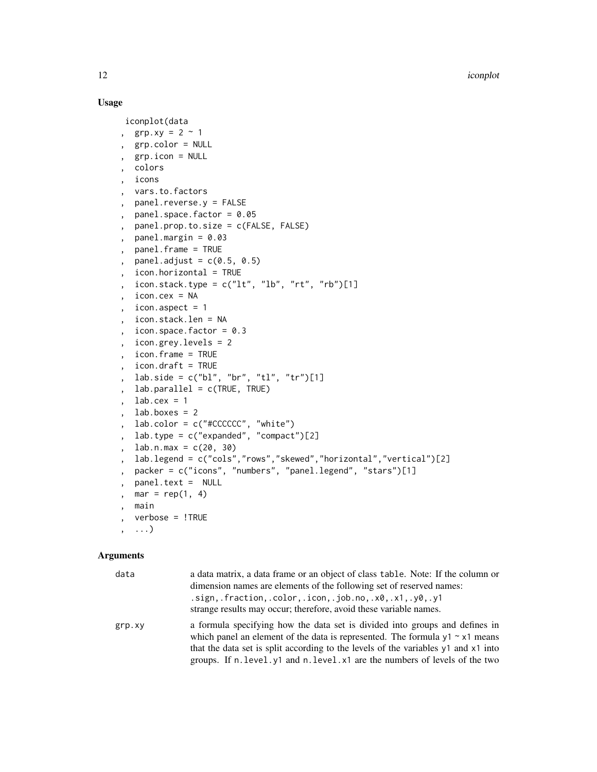## Usage

```
iconplot(data
, grp.xy = 2 \sim 1, grp.color = NULL
, grp.icon = NULL
 , colors
 , icons
, vars.to.factors
, panel.reverse.y = FALSE
, panel.space.factor = 0.05, panel.prop.to.size = c(FALSE, FALSE)
, panel.margin = 0.03, panel.frame = TRUE
, panel.adjust = c(0.5, 0.5), icon.horizontal = TRUE
, icon.stack.type = c("lt", "lb", "rt", "rb")[1], icon.cex = NA
 icon.aspect = 1, icon.stack.len = NA
, icon.space.factor = 0.3
, icon.grey.levels = 2
, icon.frame = TRUE
, icon.draft = TRUE
, lab.side = c("bl", "br", "tl", "tr")[1], lab.parallel = c(TRUE, TRUE)
  lab.cex = 1, lab.boxes = 2, lab.color = c("#CCCCCC", "white")
, lab.type = c("expanded", "compact")[2]
  lab.n.max = c(20, 30), lab.legend = c("cols","rows","skewed","horizontal","vertical")[2]
  , packer = c("icons", "numbers", "panel.legend", "stars")[1]
  , panel.text = NULL
  mar = rep(1, 4), main
, verbose = !TRUE
, ...)
```

| data   | a data matrix, a data frame or an object of class table. Note: If the column or<br>dimension names are elements of the following set of reserved names:<br>$\sigma$ .sign,.fraction,.color,.icon,.job.no,.x0,.x1,.y0,.y1                               |
|--------|--------------------------------------------------------------------------------------------------------------------------------------------------------------------------------------------------------------------------------------------------------|
|        | strange results may occur; therefore, avoid these variable names.                                                                                                                                                                                      |
| grp.xy | a formula specifying how the data set is divided into groups and defines in<br>which panel an element of the data is represented. The formula $y1 \sim x1$ means<br>that the data set is split according to the levels of the variables y1 and x1 into |
|        | groups. If n. level. y1 and n. level. x1 are the numbers of levels of the two                                                                                                                                                                          |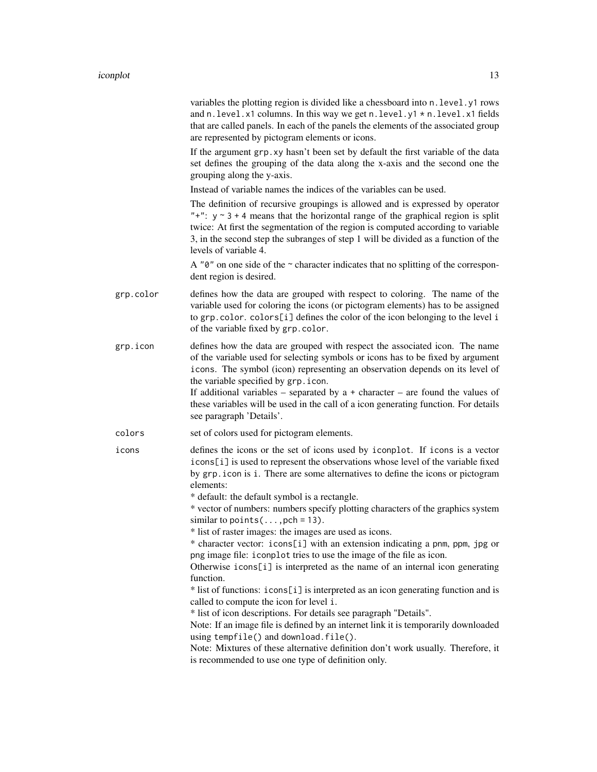|           | variables the plotting region is divided like a chessboard into n. level.y1 rows<br>and n. level. x1 columns. In this way we get n. level. y1 * n. level. x1 fields<br>that are called panels. In each of the panels the elements of the associated group<br>are represented by pictogram elements or icons.                                                              |
|-----------|---------------------------------------------------------------------------------------------------------------------------------------------------------------------------------------------------------------------------------------------------------------------------------------------------------------------------------------------------------------------------|
|           | If the argument grp. xy hasn't been set by default the first variable of the data<br>set defines the grouping of the data along the x-axis and the second one the<br>grouping along the y-axis.                                                                                                                                                                           |
|           | Instead of variable names the indices of the variables can be used.                                                                                                                                                                                                                                                                                                       |
|           | The definition of recursive groupings is allowed and is expressed by operator<br>"+": $y \sim 3 + 4$ means that the horizontal range of the graphical region is split<br>twice: At first the segmentation of the region is computed according to variable<br>3, in the second step the subranges of step 1 will be divided as a function of the<br>levels of variable 4.  |
|           | A " $\theta$ " on one side of the $\sim$ character indicates that no splitting of the correspon-<br>dent region is desired.                                                                                                                                                                                                                                               |
| grp.color | defines how the data are grouped with respect to coloring. The name of the<br>variable used for coloring the icons (or pictogram elements) has to be assigned<br>to grp.color. colors[i] defines the color of the icon belonging to the level i<br>of the variable fixed by grp.color.                                                                                    |
| grp.icon  | defines how the data are grouped with respect the associated icon. The name<br>of the variable used for selecting symbols or icons has to be fixed by argument<br>icons. The symbol (icon) representing an observation depends on its level of<br>the variable specified by grp.icon.<br>If additional variables – separated by $a +$ character – are found the values of |
|           | these variables will be used in the call of a icon generating function. For details<br>see paragraph 'Details'.                                                                                                                                                                                                                                                           |
| colors    | set of colors used for pictogram elements.                                                                                                                                                                                                                                                                                                                                |
| icons     | defines the icons or the set of icons used by iconplot. If icons is a vector<br>icons[i] is used to represent the observations whose level of the variable fixed<br>by grp. i con is i. There are some alternatives to define the icons or pictogram<br>elements:                                                                                                         |
|           | * default: the default symbol is a rectangle.<br>* vector of numbers: numbers specify plotting characters of the graphics system<br>similar to points $(\ldots, \text{pch} = 13)$ .                                                                                                                                                                                       |
|           | * list of raster images: the images are used as icons.<br>* character vector: icons[i] with an extension indicating a pnm, ppm, jpg or<br>png image file: i conplot tries to use the image of the file as icon.                                                                                                                                                           |
|           | Otherwise icons[i] is interpreted as the name of an internal icon generating<br>function.                                                                                                                                                                                                                                                                                 |
|           | * list of functions: icons[i] is interpreted as an icon generating function and is<br>called to compute the icon for level i.                                                                                                                                                                                                                                             |
|           | * list of icon descriptions. For details see paragraph "Details".<br>Note: If an image file is defined by an internet link it is temporarily downloaded<br>using tempfile() and download.file().<br>Note: Mixtures of these alternative definition don't work usually. Therefore, it<br>is recommended to use one type of definition only.                                |
|           |                                                                                                                                                                                                                                                                                                                                                                           |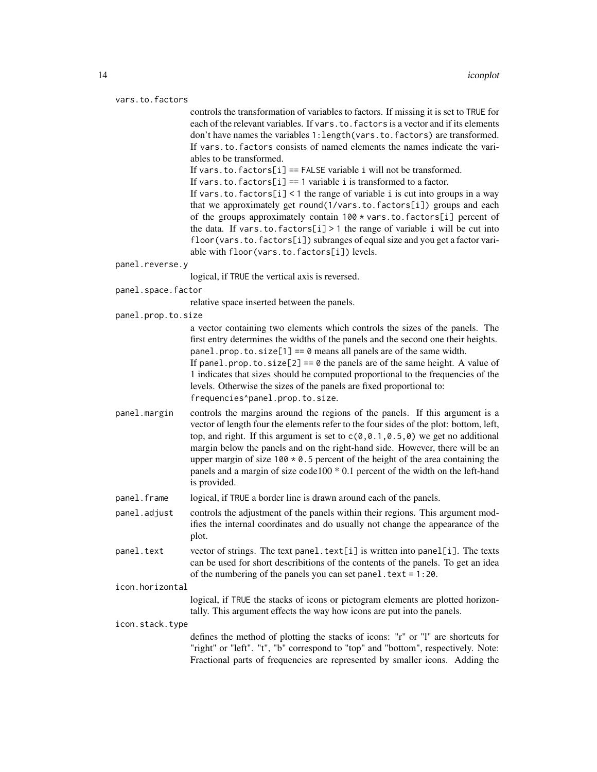```
vars.to.factors
```
controls the transformation of variables to factors. If missing it is set to TRUE for each of the relevant variables. If vars.to.factors is a vector and if its elements don't have names the variables 1:length(vars.to.factors) are transformed. If vars.to.factors consists of named elements the names indicate the variables to be transformed.

If vars. to. factors  $[i] ==$  FALSE variable i will not be transformed.

If vars.to.factors[i] == 1 variable i is transformed to a factor.

If vars.to.factors[i] < 1 the range of variable i is cut into groups in a way that we approximately get round(1/vars.to.factors[i]) groups and each of the groups approximately contain 100 \* vars.to.factors[i] percent of the data. If vars.to.factors[i] > 1 the range of variable i will be cut into floor(vars.to.factors[i]) subranges of equal size and you get a factor variable with floor(vars.to.factors[i]) levels.

#### panel.reverse.y

logical, if TRUE the vertical axis is reversed.

panel.space.factor

relative space inserted between the panels.

panel.prop.to.size

a vector containing two elements which controls the sizes of the panels. The first entry determines the widths of the panels and the second one their heights. panel.prop.to.size[1] ==  $\theta$  means all panels are of the same width. If panel.prop.to.size[2] ==  $\theta$  the panels are of the same height. A value of 1 indicates that sizes should be computed proportional to the frequencies of the levels. Otherwise the sizes of the panels are fixed proportional to: frequencies^panel.prop.to.size.

- panel.margin controls the margins around the regions of the panels. If this argument is a vector of length four the elements refer to the four sides of the plot: bottom, left, top, and right. If this argument is set to  $c(0,0.1,0.5,0)$  we get no additional margin below the panels and on the right-hand side. However, there will be an upper margin of size  $100 \times 0.5$  percent of the height of the area containing the panels and a margin of size code100 \* 0.1 percent of the width on the left-hand is provided.
- panel.frame logical, if TRUE a border line is drawn around each of the panels.
- panel.adjust controls the adjustment of the panels within their regions. This argument modifies the internal coordinates and do usually not change the appearance of the plot.
- panel.text vector of strings. The text panel.text[i] is written into panel[i]. The texts can be used for short describitions of the contents of the panels. To get an idea of the numbering of the panels you can set panel.text =  $1:20$ .

icon.horizontal

logical, if TRUE the stacks of icons or pictogram elements are plotted horizontally. This argument effects the way how icons are put into the panels.

icon.stack.type

defines the method of plotting the stacks of icons: "r" or "l" are shortcuts for "right" or "left". "t", "b" correspond to "top" and "bottom", respectively. Note: Fractional parts of frequencies are represented by smaller icons. Adding the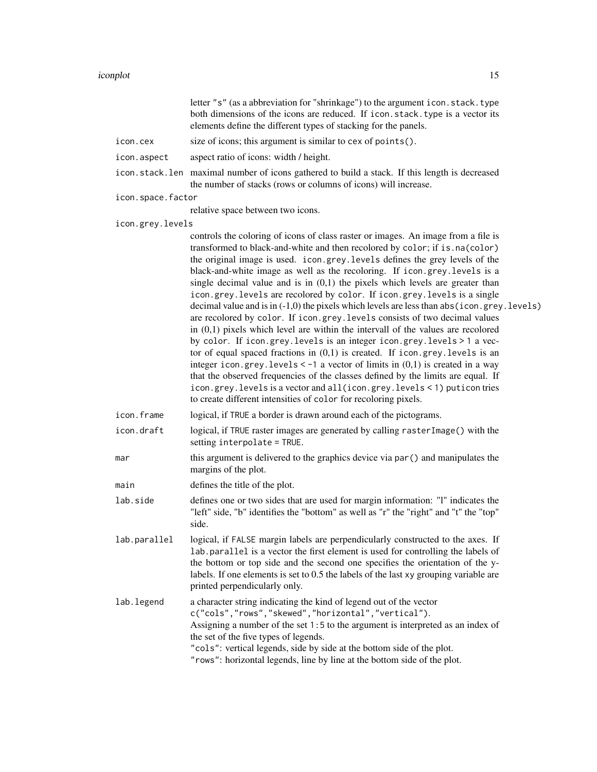|                   | letter "s" (as a abbreviation for "shrinkage") to the argument icon. stack. type<br>both dimensions of the icons are reduced. If icon.stack.type is a vector its<br>elements define the different types of stacking for the panels.                                                                                                                                                                                                                                                                                                                                                                                                                                                                                                                                                                                                                                                                                                                                                                                                                                                                                                                                                                                                                       |
|-------------------|-----------------------------------------------------------------------------------------------------------------------------------------------------------------------------------------------------------------------------------------------------------------------------------------------------------------------------------------------------------------------------------------------------------------------------------------------------------------------------------------------------------------------------------------------------------------------------------------------------------------------------------------------------------------------------------------------------------------------------------------------------------------------------------------------------------------------------------------------------------------------------------------------------------------------------------------------------------------------------------------------------------------------------------------------------------------------------------------------------------------------------------------------------------------------------------------------------------------------------------------------------------|
| icon.cex          | size of icons; this argument is similar to cex of points().                                                                                                                                                                                                                                                                                                                                                                                                                                                                                                                                                                                                                                                                                                                                                                                                                                                                                                                                                                                                                                                                                                                                                                                               |
| icon.aspect       | aspect ratio of icons: width / height.                                                                                                                                                                                                                                                                                                                                                                                                                                                                                                                                                                                                                                                                                                                                                                                                                                                                                                                                                                                                                                                                                                                                                                                                                    |
|                   | icon.stack.len maximal number of icons gathered to build a stack. If this length is decreased<br>the number of stacks (rows or columns of icons) will increase.                                                                                                                                                                                                                                                                                                                                                                                                                                                                                                                                                                                                                                                                                                                                                                                                                                                                                                                                                                                                                                                                                           |
| icon.space.factor |                                                                                                                                                                                                                                                                                                                                                                                                                                                                                                                                                                                                                                                                                                                                                                                                                                                                                                                                                                                                                                                                                                                                                                                                                                                           |
|                   | relative space between two icons.                                                                                                                                                                                                                                                                                                                                                                                                                                                                                                                                                                                                                                                                                                                                                                                                                                                                                                                                                                                                                                                                                                                                                                                                                         |
| icon.grey.levels  |                                                                                                                                                                                                                                                                                                                                                                                                                                                                                                                                                                                                                                                                                                                                                                                                                                                                                                                                                                                                                                                                                                                                                                                                                                                           |
|                   | controls the coloring of icons of class raster or images. An image from a file is<br>transformed to black-and-white and then recolored by color; if is.na(color)<br>the original image is used. icon.grey.levels defines the grey levels of the<br>black-and-white image as well as the recoloring. If icon.grey.levels is a<br>single decimal value and is in $(0,1)$ the pixels which levels are greater than<br>icon.grey.levels are recolored by color. If icon.grey.levels is a single<br>decimal value and is in $(-1,0)$ the pixels which levels are less than $abs(icon.grey. levels)$<br>are recolored by color. If icon.grey.levels consists of two decimal values<br>in $(0,1)$ pixels which level are within the intervall of the values are recolored<br>by color. If icon.grey.levels is an integer icon.grey.levels > 1 a vec-<br>tor of equal spaced fractions in $(0,1)$ is created. If icon.grey.levels is an<br>integer icon.grey.levels $\lt$ -1 a vector of limits in $(0,1)$ is created in a way<br>that the observed frequencies of the classes defined by the limits are equal. If<br>icon.grey.levels is a vector and all(icon.grey.levels < 1) puticon tries<br>to create different intensities of color for recoloring pixels. |
| icon.frame        | logical, if TRUE a border is drawn around each of the pictograms.                                                                                                                                                                                                                                                                                                                                                                                                                                                                                                                                                                                                                                                                                                                                                                                                                                                                                                                                                                                                                                                                                                                                                                                         |
| icon.draft        | logical, if TRUE raster images are generated by calling raster Image() with the<br>setting interpolate = TRUE.                                                                                                                                                                                                                                                                                                                                                                                                                                                                                                                                                                                                                                                                                                                                                                                                                                                                                                                                                                                                                                                                                                                                            |
| mar               | this argument is delivered to the graphics device via par () and manipulates the<br>margins of the plot.                                                                                                                                                                                                                                                                                                                                                                                                                                                                                                                                                                                                                                                                                                                                                                                                                                                                                                                                                                                                                                                                                                                                                  |
| main              | defines the title of the plot.                                                                                                                                                                                                                                                                                                                                                                                                                                                                                                                                                                                                                                                                                                                                                                                                                                                                                                                                                                                                                                                                                                                                                                                                                            |
| lab.side          | defines one or two sides that are used for margin information: "I" indicates the<br>"left" side, "b" identifies the "bottom" as well as "r" the "right" and "t" the "top"<br>side.                                                                                                                                                                                                                                                                                                                                                                                                                                                                                                                                                                                                                                                                                                                                                                                                                                                                                                                                                                                                                                                                        |
| lab.parallel      | logical, if FALSE margin labels are perpendicularly constructed to the axes. If<br>lab.parallel is a vector the first element is used for controlling the labels of<br>the bottom or top side and the second one specifies the orientation of the y-<br>labels. If one elements is set to 0.5 the labels of the last xy grouping variable are<br>printed perpendicularly only.                                                                                                                                                                                                                                                                                                                                                                                                                                                                                                                                                                                                                                                                                                                                                                                                                                                                            |
| lab.legend        | a character string indicating the kind of legend out of the vector<br>c("cols","rows","skewed","horizontal","vertical").<br>Assigning a number of the set 1:5 to the argument is interpreted as an index of<br>the set of the five types of legends.<br>"cols": vertical legends, side by side at the bottom side of the plot.<br>"rows": horizontal legends, line by line at the bottom side of the plot.                                                                                                                                                                                                                                                                                                                                                                                                                                                                                                                                                                                                                                                                                                                                                                                                                                                |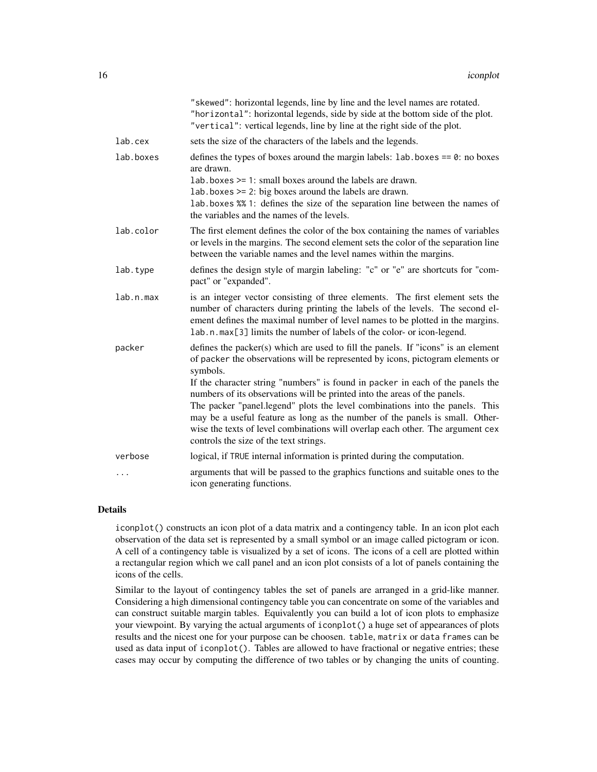|           | "skewed": horizontal legends, line by line and the level names are rotated.<br>"horizontal": horizontal legends, side by side at the bottom side of the plot.<br>"vertical": vertical legends, line by line at the right side of the plot.                                                                                                                            |
|-----------|-----------------------------------------------------------------------------------------------------------------------------------------------------------------------------------------------------------------------------------------------------------------------------------------------------------------------------------------------------------------------|
| lab.cex   | sets the size of the characters of the labels and the legends.                                                                                                                                                                                                                                                                                                        |
| lab.boxes | defines the types of boxes around the margin labels: $1ab \cdot b$ oxes == 0: no boxes<br>are drawn.<br>$lab. boxes \ge 1$ : small boxes around the labels are drawn.<br>lab.boxes >= 2: big boxes around the labels are drawn.<br>lab. boxes %% 1: defines the size of the separation line between the names of<br>the variables and the names of the levels.        |
| lab.color | The first element defines the color of the box containing the names of variables<br>or levels in the margins. The second element sets the color of the separation line<br>between the variable names and the level names within the margins.                                                                                                                          |
| lab.type  | defines the design style of margin labeling: "c" or "e" are shortcuts for "com-<br>pact" or "expanded".                                                                                                                                                                                                                                                               |
| lab.n.max | is an integer vector consisting of three elements. The first element sets the<br>number of characters during printing the labels of the levels. The second el-<br>ement defines the maximal number of level names to be plotted in the margins.<br>lab.n.max[3] limits the number of labels of the color- or icon-legend.                                             |
| packer    | defines the packer(s) which are used to fill the panels. If "icons" is an element<br>of packer the observations will be represented by icons, pictogram elements or<br>symbols.<br>If the character string "numbers" is found in packer in each of the panels the                                                                                                     |
|           | numbers of its observations will be printed into the areas of the panels.<br>The packer "panel.legend" plots the level combinations into the panels. This<br>may be a useful feature as long as the number of the panels is small. Other-<br>wise the texts of level combinations will overlap each other. The argument cex<br>controls the size of the text strings. |
| verbose   | logical, if TRUE internal information is printed during the computation.                                                                                                                                                                                                                                                                                              |
|           | arguments that will be passed to the graphics functions and suitable ones to the<br>icon generating functions.                                                                                                                                                                                                                                                        |

#### Details

iconplot() constructs an icon plot of a data matrix and a contingency table. In an icon plot each observation of the data set is represented by a small symbol or an image called pictogram or icon. A cell of a contingency table is visualized by a set of icons. The icons of a cell are plotted within a rectangular region which we call panel and an icon plot consists of a lot of panels containing the icons of the cells.

Similar to the layout of contingency tables the set of panels are arranged in a grid-like manner. Considering a high dimensional contingency table you can concentrate on some of the variables and can construct suitable margin tables. Equivalently you can build a lot of icon plots to emphasize your viewpoint. By varying the actual arguments of iconplot() a huge set of appearances of plots results and the nicest one for your purpose can be choosen. table, matrix or data frames can be used as data input of iconplot(). Tables are allowed to have fractional or negative entries; these cases may occur by computing the difference of two tables or by changing the units of counting.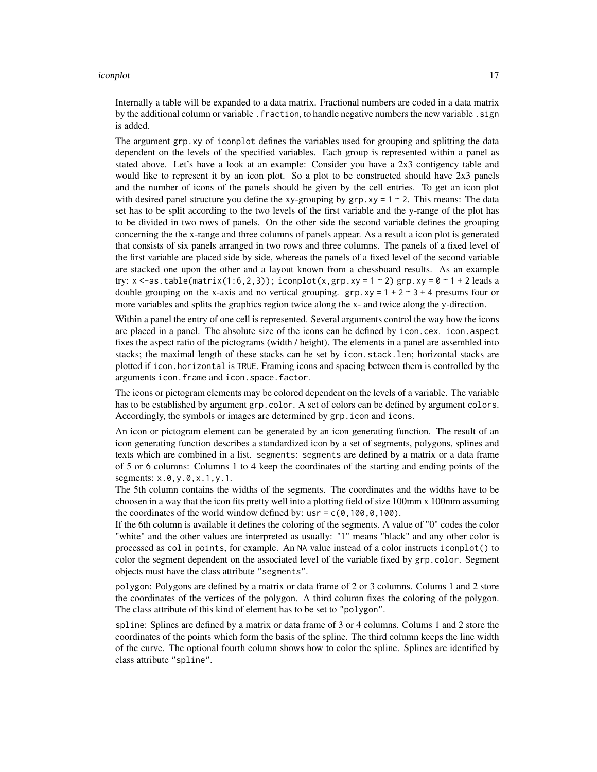#### iconplot that is a set of the set of the set of the set of the set of the set of the set of the set of the set of the set of the set of the set of the set of the set of the set of the set of the set of the set of the set o

Internally a table will be expanded to a data matrix. Fractional numbers are coded in a data matrix by the additional column or variable . fraction, to handle negative numbers the new variable . sign is added.

The argument grp.xy of iconplot defines the variables used for grouping and splitting the data dependent on the levels of the specified variables. Each group is represented within a panel as stated above. Let's have a look at an example: Consider you have a 2x3 contigency table and would like to represent it by an icon plot. So a plot to be constructed should have 2x3 panels and the number of icons of the panels should be given by the cell entries. To get an icon plot with desired panel structure you define the xy-grouping by  $grp$ . xy = 1  $\sim$  2. This means: The data set has to be split according to the two levels of the first variable and the y-range of the plot has to be divided in two rows of panels. On the other side the second variable defines the grouping concerning the the x-range and three columns of panels appear. As a result a icon plot is generated that consists of six panels arranged in two rows and three columns. The panels of a fixed level of the first variable are placed side by side, whereas the panels of a fixed level of the second variable are stacked one upon the other and a layout known from a chessboard results. As an example try:  $x < -a$ s.table(matrix(1:6,2,3)); iconplot(x,grp.xy = 1 ~ 2) grp.xy =  $0 \sim 1 + 2$  leads a double grouping on the x-axis and no vertical grouping.  $grp, xy = 1 + 2 \approx 3 + 4$  presums four or more variables and splits the graphics region twice along the x- and twice along the y-direction.

Within a panel the entry of one cell is represented. Several arguments control the way how the icons are placed in a panel. The absolute size of the icons can be defined by icon.cex. icon.aspect fixes the aspect ratio of the pictograms (width / height). The elements in a panel are assembled into stacks; the maximal length of these stacks can be set by icon.stack.len; horizontal stacks are plotted if icon.horizontal is TRUE. Framing icons and spacing between them is controlled by the arguments icon.frame and icon.space.factor.

The icons or pictogram elements may be colored dependent on the levels of a variable. The variable has to be established by argument grp.color. A set of colors can be defined by argument colors. Accordingly, the symbols or images are determined by grp. i con and icons.

An icon or pictogram element can be generated by an icon generating function. The result of an icon generating function describes a standardized icon by a set of segments, polygons, splines and texts which are combined in a list. segments: segments are defined by a matrix or a data frame of 5 or 6 columns: Columns 1 to 4 keep the coordinates of the starting and ending points of the segments:  $x.\vartheta, y.\vartheta, x.1, y.1$ .

The 5th column contains the widths of the segments. The coordinates and the widths have to be choosen in a way that the icon fits pretty well into a plotting field of size 100mm x 100mm assuming the coordinates of the world window defined by: usr =  $c(0,100,0,100)$ .

If the 6th column is available it defines the coloring of the segments. A value of "0" codes the color "white" and the other values are interpreted as usually: "1" means "black" and any other color is processed as col in points, for example. An NA value instead of a color instructs iconplot() to color the segment dependent on the associated level of the variable fixed by grp.color. Segment objects must have the class attribute "segments".

polygon: Polygons are defined by a matrix or data frame of 2 or 3 columns. Colums 1 and 2 store the coordinates of the vertices of the polygon. A third column fixes the coloring of the polygon. The class attribute of this kind of element has to be set to "polygon".

spline: Splines are defined by a matrix or data frame of 3 or 4 columns. Colums 1 and 2 store the coordinates of the points which form the basis of the spline. The third column keeps the line width of the curve. The optional fourth column shows how to color the spline. Splines are identified by class attribute "spline".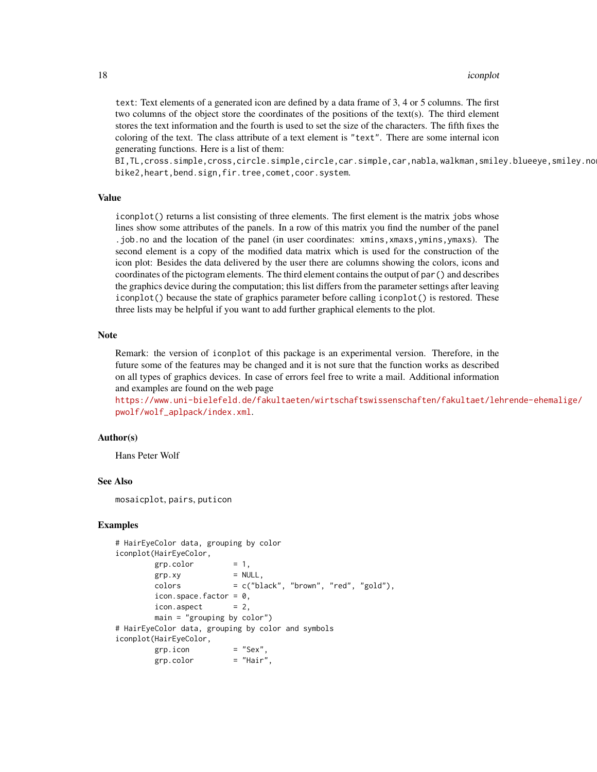#### 18 iconplot

text: Text elements of a generated icon are defined by a data frame of 3, 4 or 5 columns. The first two columns of the object store the coordinates of the positions of the text(s). The third element stores the text information and the fourth is used to set the size of the characters. The fifth fixes the coloring of the text. The class attribute of a text element is "text". There are some internal icon generating functions. Here is a list of them:

BI, TL, cross.simple, cross,circle.simple,circle, car.simple, car, nabla, walkman, smiley.blueeye, smiley.no bike2,heart,bend.sign,fir.tree,comet,coor.system.

#### Value

iconplot() returns a list consisting of three elements. The first element is the matrix jobs whose lines show some attributes of the panels. In a row of this matrix you find the number of the panel .job.no and the location of the panel (in user coordinates: xmins,xmaxs,ymins,ymaxs). The second element is a copy of the modified data matrix which is used for the construction of the icon plot: Besides the data delivered by the user there are columns showing the colors, icons and coordinates of the pictogram elements. The third element contains the output of par() and describes the graphics device during the computation; this list differs from the parameter settings after leaving iconplot() because the state of graphics parameter before calling iconplot() is restored. These three lists may be helpful if you want to add further graphical elements to the plot.

#### Note

Remark: the version of iconplot of this package is an experimental version. Therefore, in the future some of the features may be changed and it is not sure that the function works as described on all types of graphics devices. In case of errors feel free to write a mail. Additional information and examples are found on the web page

[https://www.uni-bielefeld.de/fakultaeten/wirtschaftswissenschaften/fakultaet/leh](https://www.uni-bielefeld.de/fakultaeten/wirtschaftswissenschaften/fakultaet/lehrende-ehemalige/pwolf/wolf_aplpack/index.xml)rende-ehemalige/ [pwolf/wolf\\_aplpack/index.xml](https://www.uni-bielefeld.de/fakultaeten/wirtschaftswissenschaften/fakultaet/lehrende-ehemalige/pwolf/wolf_aplpack/index.xml).

## Author(s)

Hans Peter Wolf

## See Also

mosaicplot, pairs, puticon

#### Examples

```
# HairEyeColor data, grouping by color
iconplot(HairEyeColor,
       grp.color = 1,grp xy = NULL,colors = c("black", "brown", "red", "gold"),icon.space.factor = 0,
       icon. aspect = 2,
       main = "grouping by color")
# HairEyeColor data, grouping by color and symbols
iconplot(HairEyeColor,
       grp.icon = "Sex",
       grp.color = "Hair",
```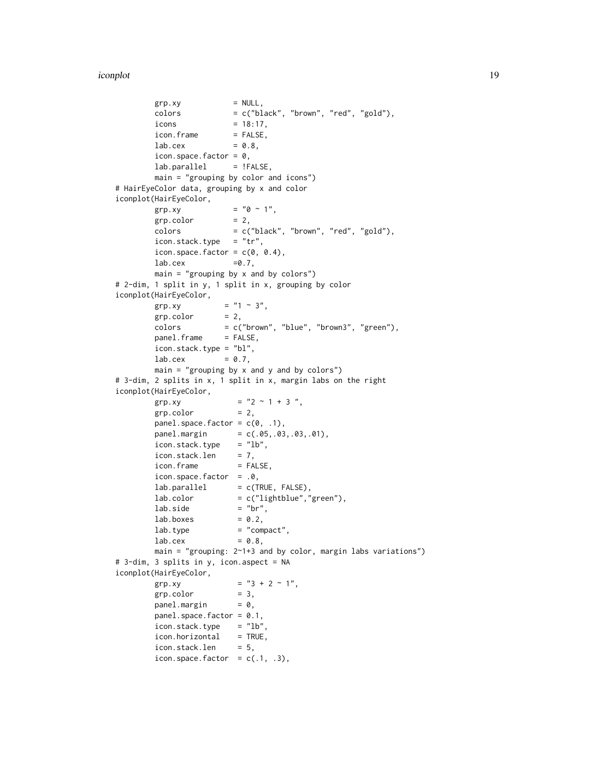```
grp xy = NULL,colors = c("black", "brown", "red", "gold"),
       icons = 18:17,
       icon.frame = FALSE,
       \text{lab. cex} = 0.8,
       icon.space.factor = 0,
       lab.parallel = !FALSE,
       main = "grouping by color and icons")
# HairEyeColor data, grouping by x and color
iconplot(HairEyeColor,
       grp.xy = "0 \sim 1",grp.color = 2,colors = c("black", "brown", "red", "gold"),
       icon.stack.type = "tr",
       icon.space.factor = c(0, 0.4),
       \text{lab. cex} =0.7,
       main = "grouping by x and by colors")
# 2-dim, 1 split in y, 1 split in x, grouping by color
iconplot(HairEyeColor,
       grp.xy = "1 \approx 3",grp.color = 2,colors = c("brown", "blue", "brown3", "green"),
       panel.frame = FALSE,
       icon.stack.type = "bl",
       lab.cex = 0.7,
       main = "grouping by x and y and by colors")# 3-dim, 2 splits in x, 1 split in x, margin labs on the right
iconplot(HairEyeColor,
       grp.xy = "2 \sim 1 + 3",<br>grp.color = 2,
       grp.color
       panel.space.factor = c(\theta, .1),
       panel.margin = c(.05,.03,.03,.01),icon.stack.type = "lb",icon.stack.len = 7,
       icon.frame = FALSE,
       icon.space.factor = .0,
       lab.parallel = c(TRUE, FALSE),lab.color = c("lightblue", "green"),lab.size = "br",
       \text{lab}.\text{boxes} = 0.2,
       \text{lab.type} = "compact",
       \text{lab. cex} = 0.8,main = "grouping: 2~1+3 and by color, margin labs variations")
# 3-dim, 3 splits in y, icon.aspect = NA
iconplot(HairEyeColor,
       grp.xy = "3 + 2 \sim 1",grp.color = 3,panel.margin = <math>0</math>,panel.space.factor = 0.1,
       icon.stack.type = "lb",icon.horizontal = TRUE,
       icon.stack.len = 5,
       icon.space.factor = c(.1, .3),
```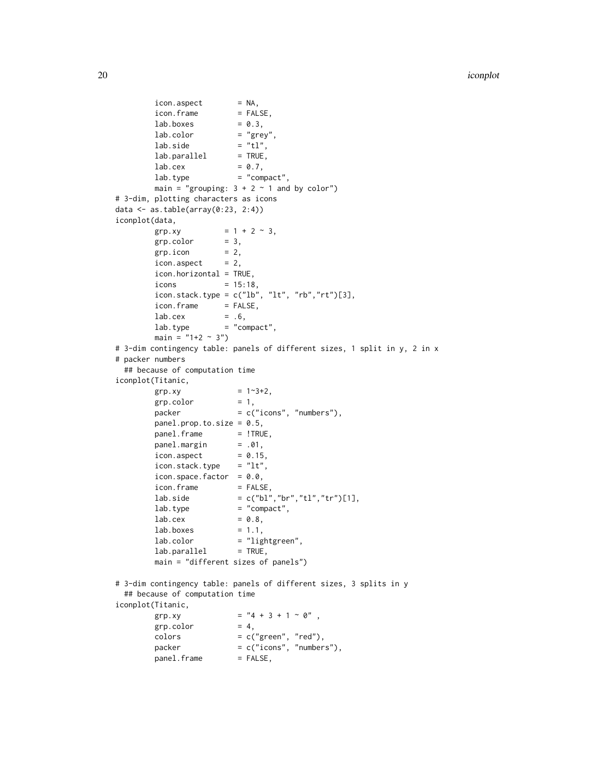```
icon aspect = NA,
       icon.frame = FALSE,
       \text{lab}.\text{boxes} = 0.3,
       \text{lab}.\text{color} = "grey",
       lab.size = "tl",
       lab.parallel = TRUE,
       \text{lab. cex} = 0.7,
       lab.type = "compact",main = "grouping: 3 + 2 \sim 1 and by color")
# 3-dim, plotting characters as icons
data <- as.table(array(0:23, 2:4))
iconplot(data,
       grp.xy = 1 + 2 \approx 3,<br>grb.color = 3,
       grp.color
       grp.icon = 2,
       icon aspect = 2,
       icon.horizontal = TRUE,
       icons = 15:18,
       icon.stack.type = c("lb", "lt", "rb", "rt")[3],icon.frame = FALSE,
       \text{lab. cex} = .6,
       lab.type = "compact",main = "1+2 ~ 3")# 3-dim contingency table: panels of different sizes, 1 split in y, 2 in x
# packer numbers
 ## because of computation time
iconplot(Titanic,
       grp xy = 1~3+2,grp.color = 1,packer = c("icons", "numbers"),
       panel.prop.to.size = 0.5,
       panel.frame = !TRUE,
       panel.margin = .01,
       icon aspect = 0.15,
       icon.stack.type = "lt",icon.space.factor = 0.0,
       icon.frame = FALSE,
       lab.size = c("bl","br","tl","tr")[1],
       lab.type = "compact",\text{lab. cex} = 0.8,\text{lab}.\text{boxes} = 1.1,
       lab.color = "lightgreen",
       lab.parallel = TRUE,main = "different sizes of panels")
# 3-dim contingency table: panels of different sizes, 3 splits in y
 ## because of computation time
iconplot(Titanic,
       grp.xy = "4 + 3 + 1 \sim 0",
       grp.color = 4,colors = c("green", "red"),packet = c("icons", "numbers"),panel.frame = FALSE,
```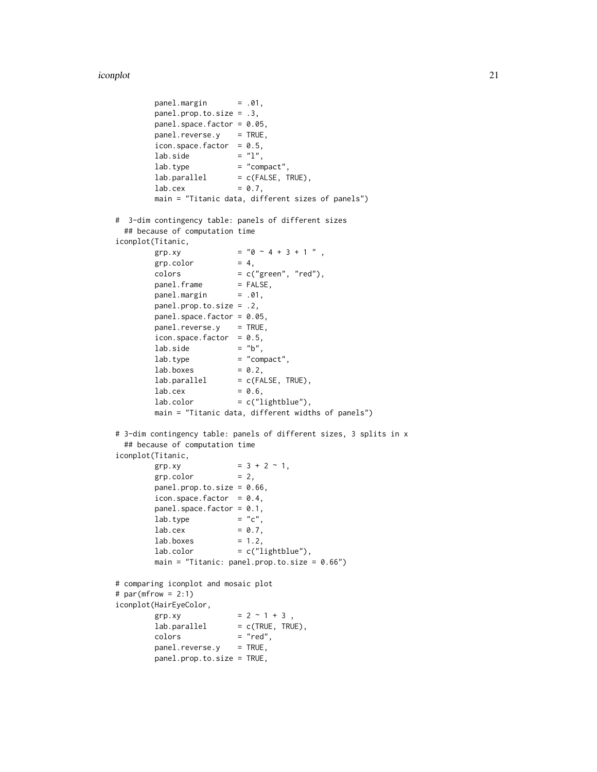iconplot 21

```
panel.margin = .01,
        panel.prop.to.size = .3,
        panel.space.factor = 0.05,
        panel. reverse.y = TRUE,icon.space.factor = 0.5,<br>lab.side = "l",lab.side \overline{\phantom{a}}lab.type = "compact",lab.parallel = c(FALSE, TRUE),\text{lab. cex} = 0.7,
        main = "Titanic data, different sizes of panels")
# 3-dim contingency table: panels of different sizes
 ## because of computation time
iconplot(Titanic,
        grp.xy = "0 \sim 4 + 3 + 1",
        grp.color = 4,colors = c("green", "red"),
        panel.frame = FALSE,<br>panel.margin = .01,
        panel.margin
        panel.prop.to.size = .2,
        panel.space.factor = 0.05,
        panel. reverse.y = TRUE,icon.space.factor = 0.5,<br>lab.side = "b",
        lab.side
        \text{lab. type} = "compact",
        \text{lab}.\text{boxes} = 0.2,
        lab.parallel = c(FALSE, TRUE),\text{lab. cex} = 0.6,
        lab.color = c("lightblue"),main = "Titanic data, different widths of panels")
# 3-dim contingency table: panels of different sizes, 3 splits in x
 ## because of computation time
iconplot(Titanic,
        grp.xy = 3 + 2 \approx 1,
        grp.color = 2,panel.prop.to.size = 0.66,
        icon.space.factor = 0.4,
        panel.space.factor = 0.1,
        \text{lab. type} = "c",
        \text{lab. cex} = 0.7,
        \text{lab}.\text{boxes} = 1.2,
        lab.color = c("lightblue"),main = "Titanic: panel.prop.to.size = 0.66")
# comparing iconplot and mosaic plot
# par(mfrow = 2:1)
iconplot(HairEyeColor,
        grp.xy = 2 \sim 1 + 3,
        lab.parallel = c(TRUE, TRUE),colors = "red",panel.reverse.y = TRUE,
        panel.prop.to.size = TRUE,
```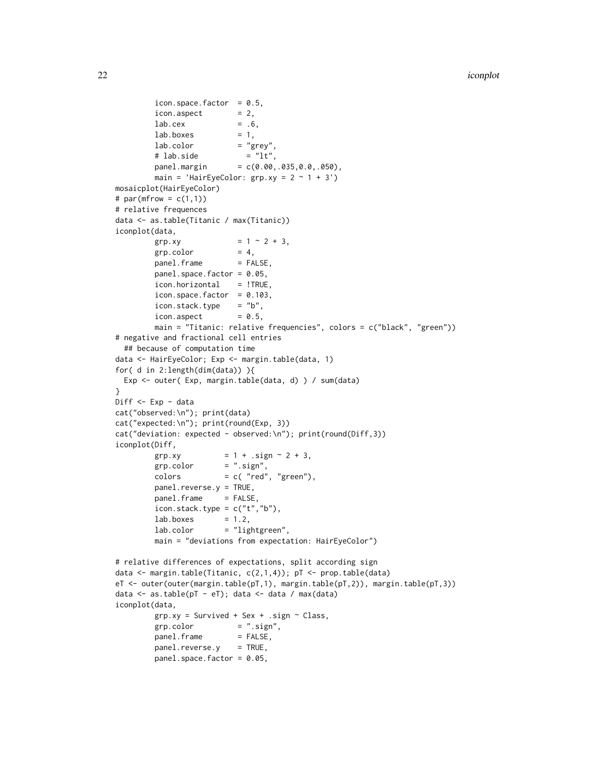```
icon.space.factor = 0.5,
        icon aspect = 2,
        \text{lab. cex} = .6,
        \text{lab}.\text{boxes} = 1,
        \text{lab}.\text{color} = "grey",
        # lab.side = "lt",panel.margin = c(0.00, .035, 0.0, .050),main = 'HairEyeColor: grp.xy = 2 \sim 1 + 3')
mosaicplot(HairEyeColor)
# par(mfrow = c(1,1))
# relative frequences
data <- as.table(Titanic / max(Titanic))
iconplot(data,
        grp.xy = 1 \sim 2 + 3,
        grp.color = 4,panel. frame = FALSE,
        panel.space.factor = 0.05,
        icon.horizontal = !TRUE,
        icon.space.factor = 0.103,
        icon.stack.type = "b",icon.aspect = 0.5,
        main = "Titanic: relative frequencies", colors = c("black", "green"))
# negative and fractional cell entries
 ## because of computation time
data <- HairEyeColor; Exp <- margin.table(data, 1)
for( d in 2:length(dim(data)) ){
 Exp <- outer( Exp, margin.table(data, d) ) / sum(data)
}
Diff <- Exp - data
cat("observed:\n"); print(data)
cat("expected:\n"); print(round(Exp, 3))
cat("deviation: expected - observed:\n"); print(round(Diff,3))
iconplot(Diff,
        grp.xy = 1 + .sign \sim 2 + 3,
        grp.color = ".sign",colors = c('red", "green"),panel.reverse.y = TRUE,
        panel.frame = FALSE,
        icon.stack.type = c("t", "b"),
        lab.boxes = 1.2,
        lab.color = "lightgreen",
        main = "deviations from expectation: HairEyeColor")
# relative differences of expectations, split according sign
data <- margin.table(Titanic, c(2,1,4)); pT <- prop.table(data)
eT <- outer(outer(margin.table(pT,1), margin.table(pT,2)), margin.table(pT,3))
data <- as.table(pT - eT); data <- data / max(data)
iconplot(data,
        grpxy = Survived + Sex + .sign ~ Class,grp.color = ".sign",panel.frame = FALSE,
        panel.reverse.y = TRUE,
        panel.space.factor = 0.05,
```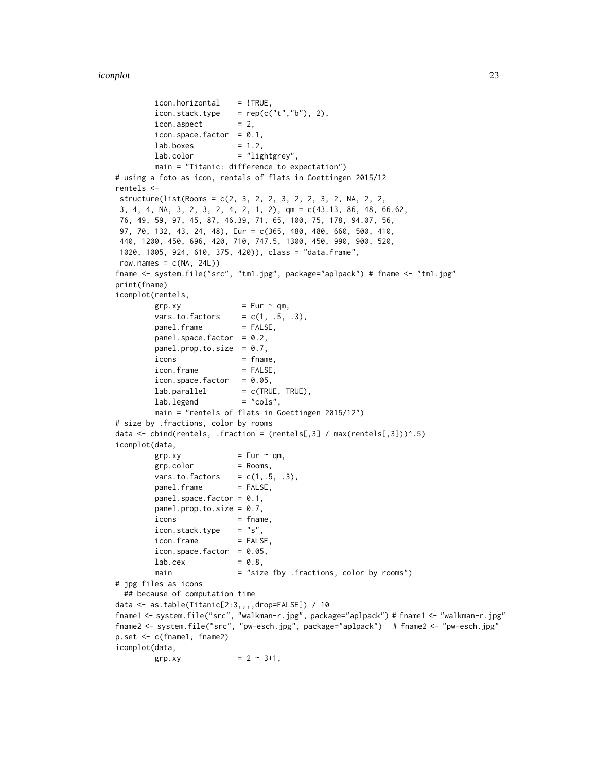```
icon.horizontal = !TRUE,
        icon.stack.type = rep(c("t", "b"), 2),icon aspect = 2,
        icon.space.factor = 0.1,
        \text{lab}.\text{boxes} = 1.2,
        lab.color = "lightgrey",main = "Titanic: difference to expectation")
# using a foto as icon, rentals of flats in Goettingen 2015/12
rentels <-
structure(list(Rooms = c(2, 3, 2, 2, 3, 2, 2, 3, 2, NA, 2, 2,
3, 4, 4, NA, 3, 2, 3, 2, 4, 2, 1, 2), qm = c(43.13, 86, 48, 66.62,
76, 49, 59, 97, 45, 87, 46.39, 71, 65, 100, 75, 178, 94.07, 56,
97, 70, 132, 43, 24, 48), Eur = c(365, 480, 480, 660, 500, 410,
440, 1200, 450, 696, 420, 710, 747.5, 1300, 450, 990, 900, 520,
1020, 1005, 924, 610, 375, 420)), class = "data.frame",
row.names = c(NA, 24L)fname <- system.file("src", "tm1.jpg", package="aplpack") # fname <- "tm1.jpg"
print(fname)
iconplot(rentels,
        grp.xy = Eur \sim qm,vars.to.factors = c(1, .5, .3),
        panel. frame = FALSE,panel.space.factor = 0.2,
        panel.prop.to.size = 0.7,
        i \text{cons} = fname,
        icon.frame = FALSE,
        icon.space.factor = 0.05,
        lab.parallel = c(TRUE, TRUE),<br>lab.legend = "cols",
        lab.legend
        main = "rentels of flats in Goettingen 2015/12")
# size by .fractions, color by rooms
data \le cbind(rentels, .fraction = (rentels[,3] / max(rentels[,3]))\land.5)
iconplot(data,
        grp.xy = Eur \sim qm,grp.color = Rooms,
        vars.to.factors = c(1, .5, .3),
        panel. frame = FALSE,panel.space.factor = 0.1,
        panel.prop.to.size = 0.7,
        i \text{cons} = fname,
        icon.stack.type = "s",icon.frame = FALSE,
        icon.space.factor = 0.05,
        lab.cex = 0.8,
        main = "size fby .fractions, color by rooms")
# jpg files as icons
 ## because of computation time
data <- as.table(Titanic[2:3,,,,drop=FALSE]) / 10
fname1 <- system.file("src", "walkman-r.jpg", package="aplpack") # fname1 <- "walkman-r.jpg"
fname2 <- system.file("src", "pw-esch.jpg", package="aplpack") # fname2 <- "pw-esch.jpg"
p.set <- c(fname1, fname2)
iconplot(data,
        grp.xy = 2 \approx 3+1,
```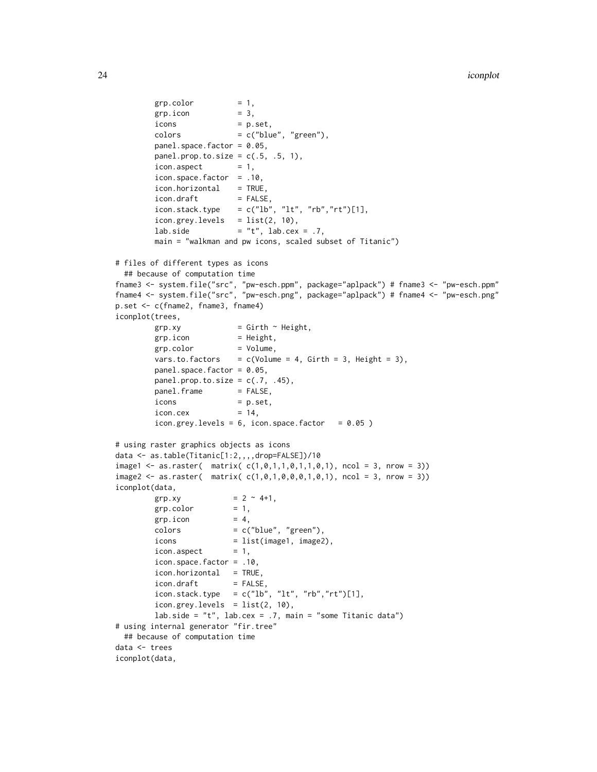```
grp.color = 1,grp.icon = 3,
        icons = p.set,
        colors = c("blue", "green"),panel.space.factor = 0.05,
        panel.prop.to.size = c(.5, .5, 1),
        icon. aspect = 1,
        icon.space.factor = .10,
        icon.horizontal = TRUE,
        icon.draft = FALSE,
        icon.stack.type = c("lb", "lt", "rb", "rt")[1],icon.grey. levels = list(2, 10),lab.side = "t", lab.cex = .7,
        main = "walkman and pw icons, scaled subset of Titanic")
# files of different types as icons
 ## because of computation time
fname3 <- system.file("src", "pw-esch.ppm", package="aplpack") # fname3 <- "pw-esch.ppm"
fname4 <- system.file("src", "pw-esch.png", package="aplpack") # fname4 <- "pw-esch.png"
p.set <- c(fname2, fname3, fname4)
iconplot(trees,
        grp.xy = Girth ~ H \text{eight},grp.icon = Height,
        grp.color = Volume,
        vars.to.factors = c(Volume = 4, Girth = 3, Height = 3),panel.space.factor = 0.05,
        panel.prop.to.size = c(.7, .45),
        panel. frame = FALSE,icons = p.set,
        icon.cex = 14,
        icon.grey.levels = 6, icon.space.factor = 0.05)
# using raster graphics objects as icons
data <- as.table(Titanic[1:2,,,,drop=FALSE])/10
image1 \leq -as.raster( matrix(c(1, 0, 1, 1, 0, 1, 1, 0, 1), ncol = 3, nrow = 3))image2 \leq 1 as.raster( matrix( c(1, 0, 1, 0, 0, 0, 1, 0, 1), ncol = 3, nrow = 3))
iconplot(data,
        grp.xy = 2 \sim 4+1,
        grp.color = 1,grp.icon = 4,
        colors = c("blue", "green"),icons = list(image1, image2),<br>icon.aspect = 1,
        icon.aspect
        icon.space.factor = .10,
        icon.horizontal = TRUE,
        icon.draft = FALSE,
        icon.stack.type = c("lb", "lt", "rb", "rt")[1],icon.grey. levels = list(2, 10),lab.side = "t", lab.cex = .7, main = "some Titanic data")
# using internal generator "fir.tree"
 ## because of computation time
data <- trees
iconplot(data,
```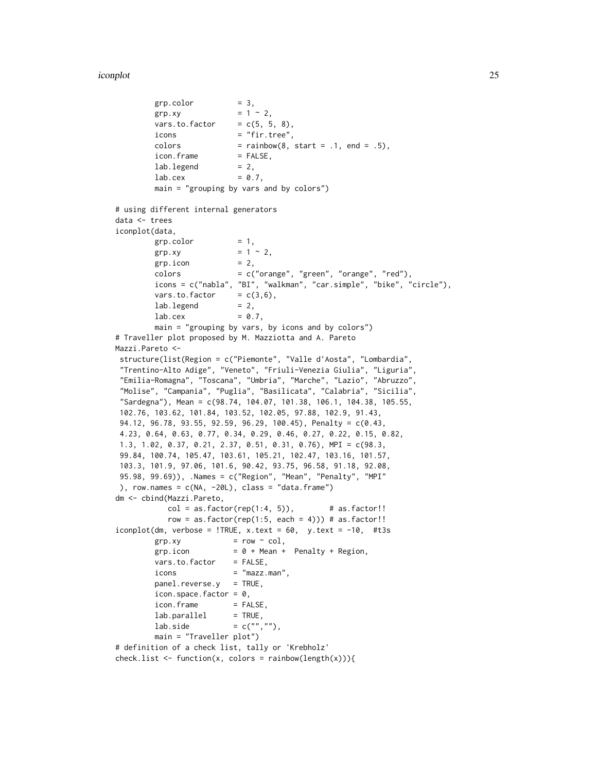iconplot 25

```
grp.color = 3,grp.xy = 1 \approx 2,
        vars.to.factor = c(5, 5, 8),
        icons = "fir.tree",
        colors = rainbow(8, start = .1, end = .5),
        icon.frame = FALSE,
        lab.legend = 2,\text{lab. cex} = 0.7,
        main = "grouping by vars and by colors")
# using different internal generators
data <- trees
iconplot(data,
        grp.color = 1,grp.xy = 1 \approx 2,
        grp.icon = 2,
        colors = c("orange", "green", "orange", "red"),
        icons = c("nabla", "BI", "walkman", "car.simple", "bike", "circle"),
        vars.to.factor = c(3,6),
        lab.legend = 2,
        \text{lab. cex} = 0.7,
        main = "grouping by vars, by icons and by colors")
# Traveller plot proposed by M. Mazziotta and A. Pareto
Mazzi.Pareto <-
structure(list(Region = c("Piemonte", "Valle d'Aosta", "Lombardia",
"Trentino-Alto Adige", "Veneto", "Friuli-Venezia Giulia", "Liguria",
"Emilia-Romagna", "Toscana", "Umbria", "Marche", "Lazio", "Abruzzo",
"Molise", "Campania", "Puglia", "Basilicata", "Calabria", "Sicilia",
"Sardegna"), Mean = c(98.74, 104.07, 101.38, 106.1, 104.38, 105.55,
102.76, 103.62, 101.84, 103.52, 102.05, 97.88, 102.9, 91.43,
94.12, 96.78, 93.55, 92.59, 96.29, 100.45), Penalty = c(0.43,
4.23, 0.64, 0.63, 0.77, 0.34, 0.29, 0.46, 0.27, 0.22, 0.15, 0.82,
1.3, 1.02, 0.37, 0.21, 2.37, 0.51, 0.31, 0.76), MPI = c(98.3,
99.84, 100.74, 105.47, 103.61, 105.21, 102.47, 103.16, 101.57,
103.3, 101.9, 97.06, 101.6, 90.42, 93.75, 96.58, 91.18, 92.08,
95.98, 99.69)), .Names = c("Region", "Mean", "Penalty", "MPI"
), row.name = c(NA, -20L), class = "data-frame")dm <- cbind(Mazzi.Pareto,
           col = as.factor(rep(1:4, 5)), # as.factor!!
           row = as.factor(rep(1:5, each = 4))) # as.factor!!
iconplot(dm, verbose = !TRUE, x.text = 60, y.text = -10, #t3sgrp xy = row \sim col,grp.icon = 0 + Mean + Penalty + Region,
        vars.to.factor = FALSE,
        icons = "mazz.man",
        panel.reverse.y = TRUE,
        icon.space.factor = 0,
        icon.frame = FALSE,
        lab.parallel = TRUE,lab.side = c("", ""),
        main = "Traveller plot")
# definition of a check list, tally or 'Krebholz'
check.list <- function(x, colors = rainbow(length(x))){
```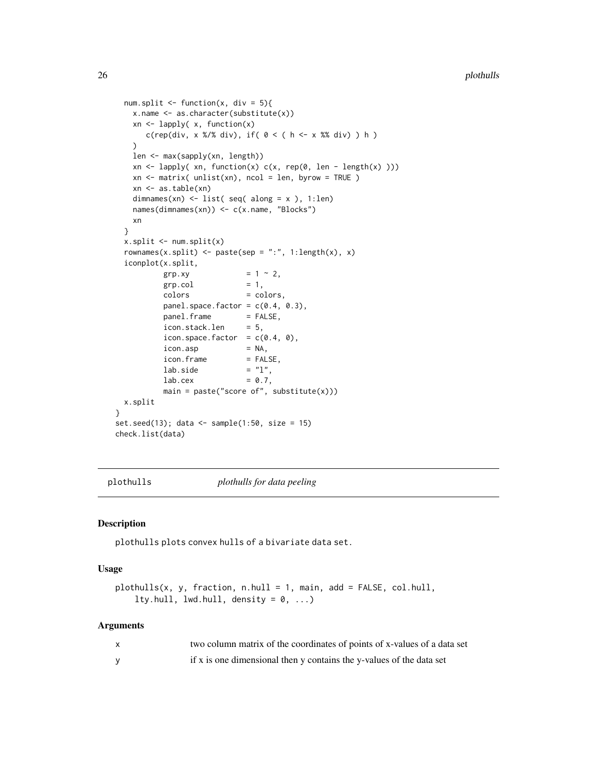```
num.split \le function(x, div = 5){
   x.name <- as.character(substitute(x))
   xn <- lapply( x, function(x)
      c(rep(div, x %/% div), if( 0 < (h < x %% div) ) h )
   \lambdalen <- max(sapply(xn, length))
   xn <- lapply( xn, function(x) c(x, rep(0, len - length(x) )))
   xn <- matrix( unlist(xn), ncol = len, byrow = TRUE )
   xn <- as.table(xn)
   dimnames(xn) <- list( seq( along = x ), 1:len)
   names(dimnames(xn)) <- c(x.name, "Blocks")
   xn
 }
 x.split \leftarrow num.split(x)rownames(x.split) <- paste(sep = ":", 1:length(x), x)
 iconplot(x.split,
          grp.xy = 1 \sim 2,
          grp.col = 1,
          colors = colors,
          panel.space.factor = c(0.4, 0.3),
          panel.frame = FALSE,
          icon.stack.len = 5,
          icon.space.factor = c(0.4, 0),
          icon.asp = NA,
          icon.frame = FALSE,
          lab.size = "l",\text{lab. cex} = 0.7,
          main = paste("score of", substitute(x)))
 x.split
}
set.seed(13); data <- sample(1:50, size = 15)
check.list(data)
```
plothulls *plothulls for data peeling*

#### Description

plothulls plots convex hulls of a bivariate data set.

#### Usage

```
plothulls(x, y, fraction, n.hull = 1, main, add = FALSE, col.hull,lty.hull, lwd.hull, density = 0, ...)
```

| two column matrix of the coordinates of points of x-values of a data set |
|--------------------------------------------------------------------------|
| if x is one dimensional then y contains the y-values of the data set     |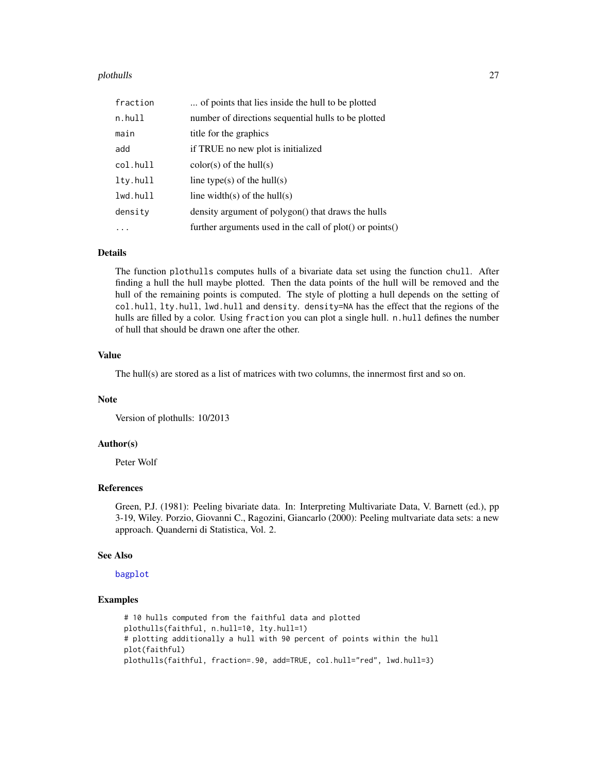#### <span id="page-26-0"></span>plothulls 27 and 27 and 28 and 28 and 28 and 28 and 28 and 28 and 28 and 28 and 27 and 27 and 27 and 27 and 28

| fraction | of points that lies inside the hull to be plotted            |
|----------|--------------------------------------------------------------|
| n.hull   | number of directions sequential hulls to be plotted          |
| main     | title for the graphics                                       |
| add      | if TRUE no new plot is initialized                           |
| col.hull | $color(s)$ of the hull $(s)$                                 |
| lty.hull | line type(s) of the hull(s)                                  |
| lwd.hull | line width(s) of the hull(s)                                 |
| density  | density argument of polygon() that draws the hulls           |
|          | further arguments used in the call of $plot()$ or $points()$ |

## Details

The function plothulls computes hulls of a bivariate data set using the function chull. After finding a hull the hull maybe plotted. Then the data points of the hull will be removed and the hull of the remaining points is computed. The style of plotting a hull depends on the setting of col.hull, lty.hull, lwd.hull and density. density=NA has the effect that the regions of the hulls are filled by a color. Using fraction you can plot a single hull. n.hull defines the number of hull that should be drawn one after the other.

## Value

The hull(s) are stored as a list of matrices with two columns, the innermost first and so on.

## Note

Version of plothulls: 10/2013

## Author(s)

Peter Wolf

## References

Green, P.J. (1981): Peeling bivariate data. In: Interpreting Multivariate Data, V. Barnett (ed.), pp 3-19, Wiley. Porzio, Giovanni C., Ragozini, Giancarlo (2000): Peeling multvariate data sets: a new approach. Quanderni di Statistica, Vol. 2.

#### See Also

[bagplot](#page-1-1)

## Examples

# 10 hulls computed from the faithful data and plotted plothulls(faithful, n.hull=10, lty.hull=1) # plotting additionally a hull with 90 percent of points within the hull plot(faithful) plothulls(faithful, fraction=.90, add=TRUE, col.hull="red", lwd.hull=3)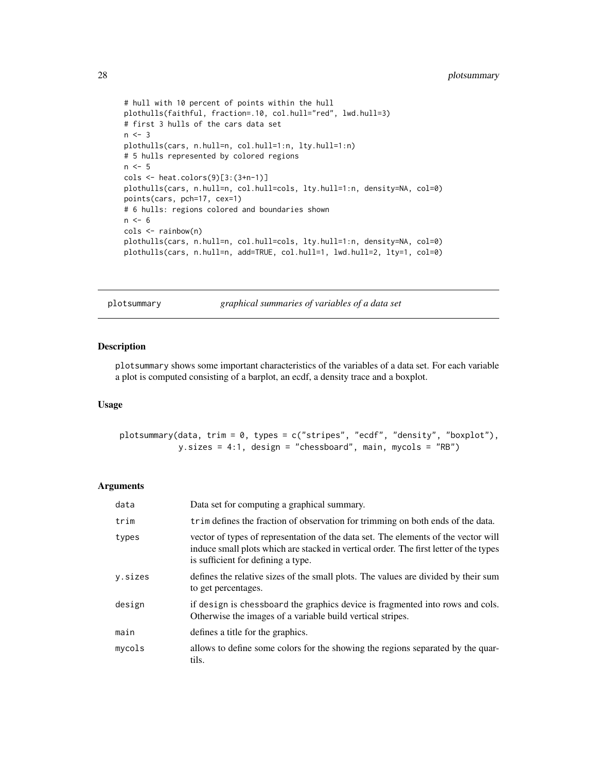```
# hull with 10 percent of points within the hull
plothulls(faithful, fraction=.10, col.hull="red", lwd.hull=3)
# first 3 hulls of the cars data set
n < -3plothulls(cars, n.hull=n, col.hull=1:n, lty.hull=1:n)
# 5 hulls represented by colored regions
n \le -5cols <- heat.colors(9)[3:(3+n-1)]
plothulls(cars, n.hull=n, col.hull=cols, lty.hull=1:n, density=NA, col=0)
points(cars, pch=17, cex=1)
# 6 hulls: regions colored and boundaries shown
n \le -6cols <- rainbow(n)
plothulls(cars, n.hull=n, col.hull=cols, lty.hull=1:n, density=NA, col=0)
plothulls(cars, n.hull=n, add=TRUE, col.hull=1, lwd.hull=2, lty=1, col=0)
```
plotsummary *graphical summaries of variables of a data set*

## Description

plotsummary shows some important characteristics of the variables of a data set. For each variable a plot is computed consisting of a barplot, an ecdf, a density trace and a boxplot.

#### Usage

plotsummary(data, trim =  $0$ , types = c("stripes", "ecdf", "density", "boxplot"), y.sizes = 4:1, design = "chessboard", main, mycols = "RB")

| data    | Data set for computing a graphical summary.                                                                                                                                                                       |
|---------|-------------------------------------------------------------------------------------------------------------------------------------------------------------------------------------------------------------------|
| trim    | trim defines the fraction of observation for trimming on both ends of the data.                                                                                                                                   |
| types   | vector of types of representation of the data set. The elements of the vector will<br>induce small plots which are stacked in vertical order. The first letter of the types<br>is sufficient for defining a type. |
| y.sizes | defines the relative sizes of the small plots. The values are divided by their sum<br>to get percentages.                                                                                                         |
| design  | if design is chessboard the graphics device is fragmented into rows and cols.<br>Otherwise the images of a variable build vertical stripes.                                                                       |
| main    | defines a title for the graphics.                                                                                                                                                                                 |
| mycols  | allows to define some colors for the showing the regions separated by the quar-<br>tils.                                                                                                                          |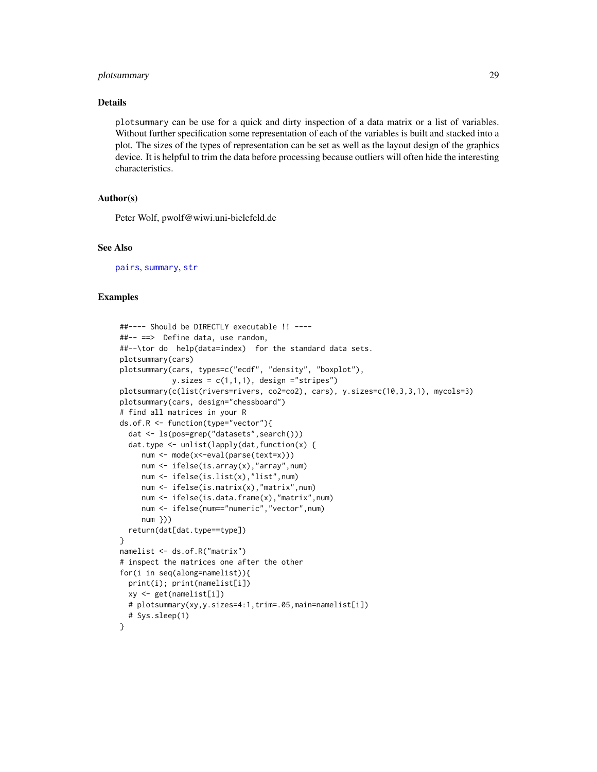## <span id="page-28-0"></span>plotsummary 29

## Details

plotsummary can be use for a quick and dirty inspection of a data matrix or a list of variables. Without further specification some representation of each of the variables is built and stacked into a plot. The sizes of the types of representation can be set as well as the layout design of the graphics device. It is helpful to trim the data before processing because outliers will often hide the interesting characteristics.

## Author(s)

Peter Wolf, pwolf@wiwi.uni-bielefeld.de

#### See Also

[pairs](#page-0-0), [summary](#page-0-0), [str](#page-0-0)

#### Examples

```
##---- Should be DIRECTLY executable !! ----
##-- ==> Define data, use random,
##--\tor do help(data=index) for the standard data sets.
plotsummary(cars)
plotsummary(cars, types=c("ecdf", "density", "boxplot"),
            y.sizes = c(1,1,1), design ="stripes")
plotsummary(c(list(rivers=rivers, co2=co2), cars), y.sizes=c(10,3,3,1), mycols=3)
plotsummary(cars, design="chessboard")
# find all matrices in your R
ds.of.R <- function(type="vector"){
  dat <- ls(pos=grep("datasets",search()))
  dat.type <- unlist(lapply(dat,function(x) {
     num <- mode(x<-eval(parse(text=x)))
     num <- ifelse(is.array(x),"array",num)
     num <- ifelse(is.list(x),"list",num)
     num <- ifelse(is.matrix(x),"matrix",num)
     num <- ifelse(is.data.frame(x),"matrix",num)
     num <- ifelse(num=="numeric","vector",num)
     num }))
  return(dat[dat.type==type])
}
namelist <- ds.of.R("matrix")
# inspect the matrices one after the other
for(i in seq(along=namelist)){
  print(i); print(namelist[i])
  xy <- get(namelist[i])
  # plotsummary(xy,y.sizes=4:1,trim=.05,main=namelist[i])
  # Sys.sleep(1)
}
```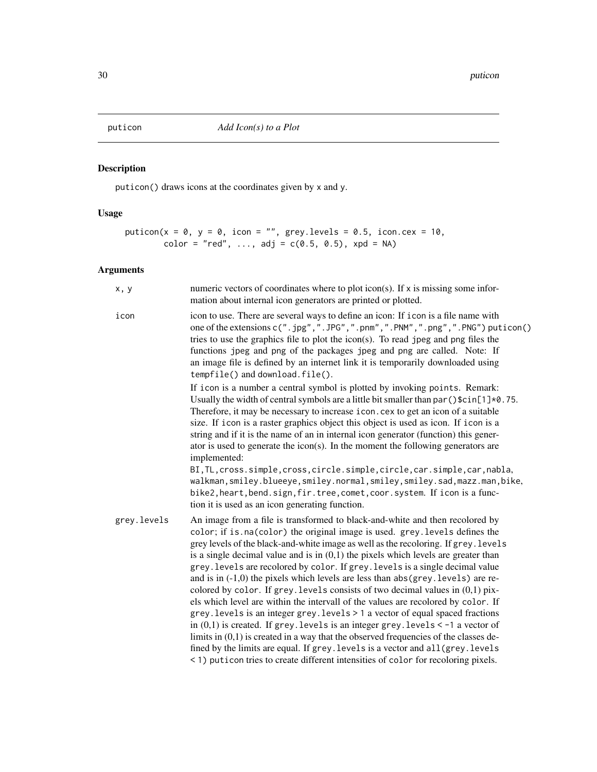<span id="page-29-0"></span>

## Description

puticon() draws icons at the coordinates given by x and y.

## Usage

```
puticon(x = 0, y = 0, icon = "", grey.levels = 0.5, icon.cex = 10,
        color = "red", ..., adj = c(0.5, 0.5), xpd = NA)
```

| x, y        | numeric vectors of coordinates where to plot icon(s). If x is missing some infor-<br>mation about internal icon generators are printed or plotted.                                                                                                                                                                                                                                                                                                                                                                                                                                                                                                                                                                                                                                                                                                                                                                                                                                                                                                                                                                                            |
|-------------|-----------------------------------------------------------------------------------------------------------------------------------------------------------------------------------------------------------------------------------------------------------------------------------------------------------------------------------------------------------------------------------------------------------------------------------------------------------------------------------------------------------------------------------------------------------------------------------------------------------------------------------------------------------------------------------------------------------------------------------------------------------------------------------------------------------------------------------------------------------------------------------------------------------------------------------------------------------------------------------------------------------------------------------------------------------------------------------------------------------------------------------------------|
| icon        | icon to use. There are several ways to define an icon: If i con is a file name with<br>one of the extensions c(".jpg",".JPG",".pnm",".PNM",".png",".PNG") puticon()<br>tries to use the graphics file to plot the icon(s). To read jpeg and png files the<br>functions jpeg and png of the packages jpeg and png are called. Note: If<br>an image file is defined by an internet link it is temporarily downloaded using<br>tempfile() and download.file().                                                                                                                                                                                                                                                                                                                                                                                                                                                                                                                                                                                                                                                                                   |
|             | If icon is a number a central symbol is plotted by invoking points. Remark:<br>Usually the width of central symbols are a little bit smaller than par ( $\frac{1}{2}$ ). 75.<br>Therefore, it may be necessary to increase icon.cex to get an icon of a suitable<br>size. If i con is a raster graphics object this object is used as icon. If i con is a<br>string and if it is the name of an in internal icon generator (function) this gener-<br>ator is used to generate the icon(s). In the moment the following generators are<br>implemented:<br>BI, TL, cross.simple, cross, circle.simple, circle, car.simple, car, nabla,<br>walkman, smiley.blueeye, smiley.normal, smiley, smiley.sad, mazz.man, bike,<br>bike2, heart, bend. sign, fir. tree, comet, coor. system. If icon is a func-<br>tion it is used as an icon generating function.                                                                                                                                                                                                                                                                                        |
| grey.levels | An image from a file is transformed to black-and-white and then recolored by<br>color; if is.na(color) the original image is used. grey.levels defines the<br>grey levels of the black-and-white image as well as the recoloring. If grey. levels<br>is a single decimal value and is in $(0,1)$ the pixels which levels are greater than<br>grey. levels are recolored by color. If grey. levels is a single decimal value<br>and is in $(-1,0)$ the pixels which levels are less than abs $(grey. levels)$ are re-<br>colored by color. If grey. levels consists of two decimal values in $(0,1)$ pix-<br>els which level are within the intervall of the values are recolored by color. If<br>grey. levels is an integer grey. levels > 1 a vector of equal spaced fractions<br>in $(0,1)$ is created. If grey. levels is an integer grey. levels $\lt$ -1 a vector of<br>limits in $(0,1)$ is created in a way that the observed frequencies of the classes de-<br>fined by the limits are equal. If grey. levels is a vector and all (grey. levels<br>< 1) puticon tries to create different intensities of color for recoloring pixels. |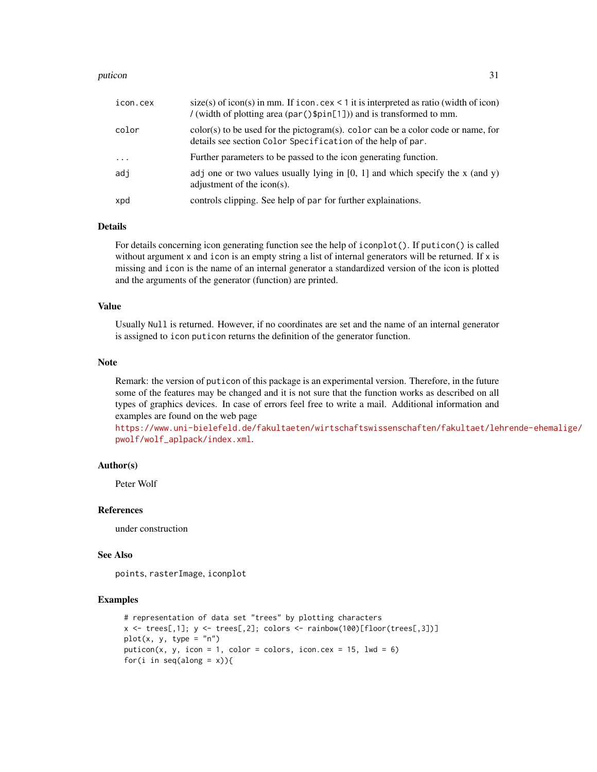#### puticon 31

| icon.cex | $size(s)$ of icon(s) in mm. If icon.cex < 1 it is interpreted as ratio (width of icon)<br>/ (width of plotting area (par () $\phi$ [1])) and is transformed to mm. |
|----------|--------------------------------------------------------------------------------------------------------------------------------------------------------------------|
| color    | $color(s)$ to be used for the pictogram(s). color can be a color code or name, for<br>details see section Color Specification of the help of par.                  |
| $\cdot$  | Further parameters to be passed to the icon generating function.                                                                                                   |
| adi      | adj one or two values usually lying in [0, 1] and which specify the x (and y)<br>adjustment of the icon(s).                                                        |
| xpd      | controls clipping. See help of par for further explainations.                                                                                                      |

#### Details

For details concerning icon generating function see the help of iconplot(). If puticon() is called without argument x and icon is an empty string a list of internal generators will be returned. If x is missing and icon is the name of an internal generator a standardized version of the icon is plotted and the arguments of the generator (function) are printed.

#### Value

Usually Null is returned. However, if no coordinates are set and the name of an internal generator is assigned to icon puticon returns the definition of the generator function.

#### Note

Remark: the version of puticon of this package is an experimental version. Therefore, in the future some of the features may be changed and it is not sure that the function works as described on all types of graphics devices. In case of errors feel free to write a mail. Additional information and examples are found on the web page

[https://www.uni-bielefeld.de/fakultaeten/wirtschaftswissenschaften/fakultaet/leh](https://www.uni-bielefeld.de/fakultaeten/wirtschaftswissenschaften/fakultaet/lehrende-ehemalige/pwolf/wolf_aplpack/index.xml)rende-ehemalige/ [pwolf/wolf\\_aplpack/index.xml](https://www.uni-bielefeld.de/fakultaeten/wirtschaftswissenschaften/fakultaet/lehrende-ehemalige/pwolf/wolf_aplpack/index.xml).

#### Author(s)

Peter Wolf

#### References

under construction

#### See Also

points, rasterImage, iconplot

## Examples

```
# representation of data set "trees" by plotting characters
x \leftarrow \text{trees[,1], } y \leftarrow \text{trees[,2], colors} \leftarrow \text{rainbow(100)[floor(trees[,3])]}plot(x, y, type = "n")puticon(x, y, icon = 1, color = colors, icon.cex = 15, lwd = 6)
for(i in seq(along = x)){
```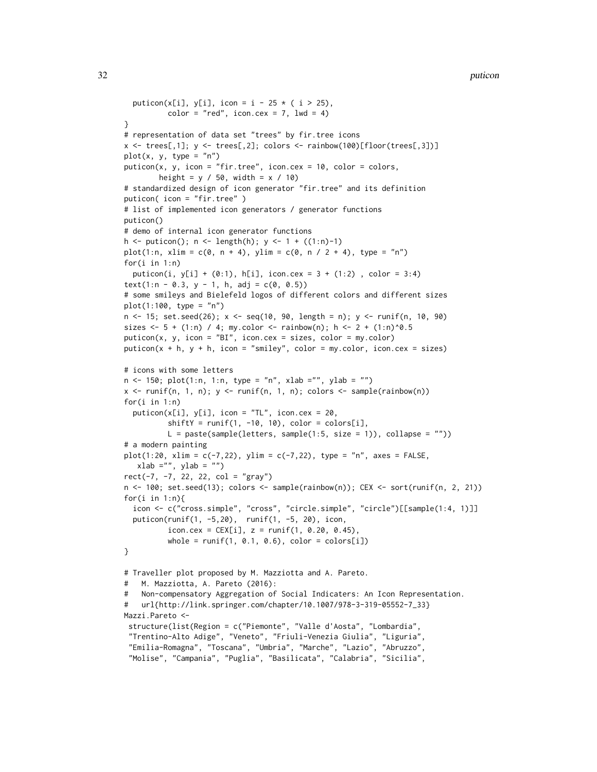```
puticon(x[i], y[i], icon = i - 25 \star ( i > 25),
          color = "red", icon.cex = 7, lwd = 4)}
# representation of data set "trees" by fir.tree icons
x \leftarrow \text{trees}[,1], y \leftarrow \text{trees}[,2], colors \leftarrow \text{rainbow}(100)[floor(trees[,3])]plot(x, y, type = "n")puticon(x, y, icon = "fir.tree", icon.cex = 10, color = colors,
        height = y / 50, width = x / 10)
# standardized design of icon generator "fir.tree" and its definition
puticon( icon = "fir.tree" )
# list of implemented icon generators / generator functions
puticon()
# demo of internal icon generator functions
h <- puticon(); n \leq length(h); y \leq -1 + ((1:n)-1)plot(1:n, xlim = c(0, n + 4), ylim = c(0, n / 2 + 4), type = "n")
for(i in 1:n)
  puticon(i, y[i] + (0:1), h[i], icon.cex = 3 + (1:2), color = 3:4)
text(1:n - 0.3, y - 1, h, adj = c(0, 0.5))
# some smileys and Bielefeld logos of different colors and different sizes
plot(1:100, type = "n")n <- 15; set.seed(26); x <- seq(10, 90, length = n); y <- runif(n, 10, 90)
sizes \le 5 + (1:n) / 4; my.color \le rainbow(n); h \le 2 + (1:n)^0.5
puticon(x, y, icon = "BI", icon.cex = sizes, color = my.color)
puticon(x + h, y + h, icon = "smiley", color = my.color, icon.cex = sizes)
# icons with some letters
n \le -150; plot(1:n, 1:n, type = "n", xlab = "", ylab = "")x \le runif(n, 1, n); y \le runif(n, 1, n); colors \le sample(rainbow(n))
for(i in 1:n)
  puticon(x[i], y[i], icon = "TL", icon.cex = 20,
          shiftY = runif(1, -10, 10), color = colors[i],
          L = paste(sample(leters, sample(1:5, size = 1)), collapse = ""))# a modern painting
plot(1:20, xlim = c(-7, 22), ylim = c(-7, 22), type = "n", axes = FALSE,xlab = "", ylab = "")rect(-7, -7, 22, 22, col = "gray")n <- 100; set.seed(13); colors <- sample(rainbow(n)); CEX <- sort(runif(n, 2, 21))
for(i in 1:n){
  icon <- c("cross.simple", "cross", "circle.simple", "circle")[[sample(1:4, 1)]]
  puticon(runif(1, -5,20), runif(1, -5, 20), icon,
          icon.cex = CEX[i], z = runif(1, 0.20, 0.45),
          whole = runif(1, 0.1, 0.6), color = colors[i])}
# Traveller plot proposed by M. Mazziotta and A. Pareto.
# M. Mazziotta, A. Pareto (2016):
# Non-compensatory Aggregation of Social Indicaters: An Icon Representation.
# url{http://link.springer.com/chapter/10.1007/978-3-319-05552-7_33}
Mazzi.Pareto <-
 structure(list(Region = c("Piemonte", "Valle d'Aosta", "Lombardia",
 "Trentino-Alto Adige", "Veneto", "Friuli-Venezia Giulia", "Liguria",
 "Emilia-Romagna", "Toscana", "Umbria", "Marche", "Lazio", "Abruzzo",
 "Molise", "Campania", "Puglia", "Basilicata", "Calabria", "Sicilia",
```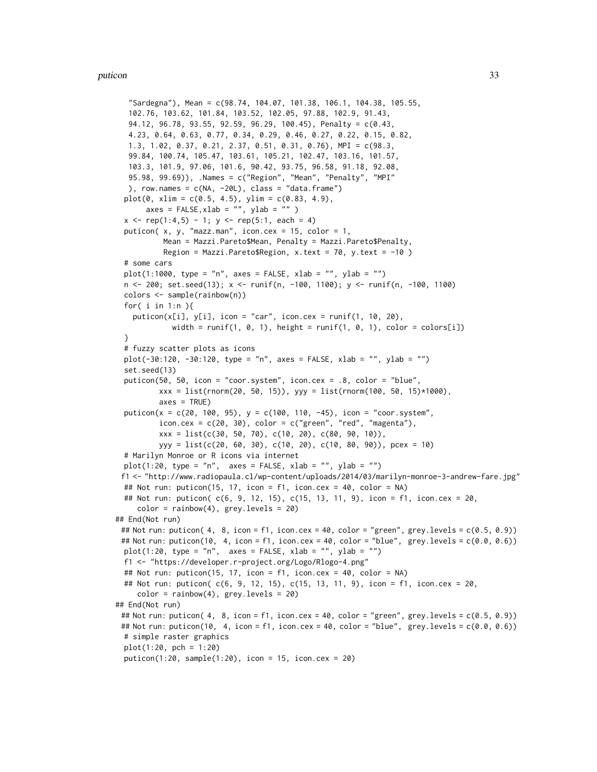#### puticon and 33 and 33 and 33 and 33 and 33 and 33 and 33 and 33 and 33 and 33 and 33 and 33 and 33 and 33 and 33 and 33 and 33 and 33 and 33 and 33 and 33 and 33 and 34 and 35 and 35 and 35 and 35 and 35 and 35 and 35 and

```
"Sardegna"), Mean = c(98.74, 104.07, 101.38, 106.1, 104.38, 105.55,
  102.76, 103.62, 101.84, 103.52, 102.05, 97.88, 102.9, 91.43,
  94.12, 96.78, 93.55, 92.59, 96.29, 100.45), Penalty = c(0.43,
  4.23, 0.64, 0.63, 0.77, 0.34, 0.29, 0.46, 0.27, 0.22, 0.15, 0.82,
  1.3, 1.02, 0.37, 0.21, 2.37, 0.51, 0.31, 0.76), MPI = c(98.3,
  99.84, 100.74, 105.47, 103.61, 105.21, 102.47, 103.16, 101.57,
  103.3, 101.9, 97.06, 101.6, 90.42, 93.75, 96.58, 91.18, 92.08,
  95.98, 99.69)), .Names = c("Region", "Mean", "Penalty", "MPI"
  ), row.names = c(NA, -20L), class = "data.frame")
 plot(0, xlim = c(0.5, 4.5), ylim = c(0.83, 4.9),axes = FALSE, xlab = ''', ylab = '''')x \leq rep(1:4,5) - 1; y \leq rep(5:1, each = 4)puticon(x, y, "mazz.man", icon.cex = 15, color = 1,
          Mean = Mazzi.Pareto$Mean, Penalty = Mazzi.Pareto$Penalty,
          Region = Mazzi.Pareto$Region, x.text = 70, y.text = -10 )
 # some cars
 plot(1:1000, type = "n", axes = FALSE, xlab = "", ylab = "")n <- 200; set.seed(13); x <- runif(n, -100, 1100); y <- runif(n, -100, 1100)
 colors <- sample(rainbow(n))
 for( i in 1:n ){
   puticon(x[i], y[i], icon = "car", icon.cex = runif(1, 10, 20),
            width = runif(1, \theta, 1), height = runif(1, \theta, 1), color = colors[i])
 }
 # fuzzy scatter plots as icons
 plot(-30:120, -30:120, type = "n", axes = FALSE, xlab = "", ylab = "")
 set.seed(13)
 puticon(50, 50, icon = "coor.system", icon.cex = .8, color = "blue",
         xxx = list(rnorm(20, 50, 15)), yyy = list(rnorm(100, 50, 15)*1000),
          axes = TRUE)
 puticon(x = c(20, 100, 95), y = c(100, 110, -45), icon = "coor.system",
          icon.cex = c(20, 30), color = c("green", "red", "magenta"),xxx = list(c(30, 50, 70), c(10, 20), c(80, 90, 10)),
         yyy = list(c(20, 60, 30), c(10, 20), c(10, 80, 90)), pcex = 10)
 # Marilyn Monroe or R icons via internet
 plot(1:20, type = "n", axes = FALSE, xlab = "", ylab = "")f1 <- "http://www.radiopaula.cl/wp-content/uploads/2014/03/marilyn-monroe-3-andrew-fare.jpg"
 ## Not run: puticon(15, 17, icon = f1, icon.cex = 40, color = NA)
 ## Not run: puticon( c(6, 9, 12, 15), c(15, 13, 11, 9), icon = f1, icon.cex = 20,
    color = rainbow(4), grey. levels = 20)## End(Not run)
 ## Not run: puticon( 4, 8, icon = f1, icon.cex = 40, color = "green", grey.levels = c(0.5, 0.9))
 ## Not run: puticon(10, 4, icon = f1, icon.cex = 40, color = "blue", grey.levels = c(0.0, 0.6))
 plot(1:20, type = "n", axes = FALSE, xlab = "", ylab = "")f1 <- "https://developer.r-project.org/Logo/Rlogo-4.png"
 ## Not run: puticon(15, 17, icon = f1, icon.cex = 40, color = NA)
 ## Not run: puticon( c(6, 9, 12, 15), c(15, 13, 11, 9), icon = f1, icon.cex = 20,
    color = rainbow(4), grey. levels = 20)## End(Not run)
 ## Not run: puticon(4, 8, icon = f1, icon.cex = 40, color = "green", grey.levels = c(0.5, 0.9))
 ## Not run: puticon(10, 4, icon = f1, icon.cex = 40, color = "blue", grey.levels = c(0.0, 0.6))
 # simple raster graphics
 plot(1:20, pch = 1:20)
 pution(1:20, sample(1:20), icon = 15, icon.csv = 20)
```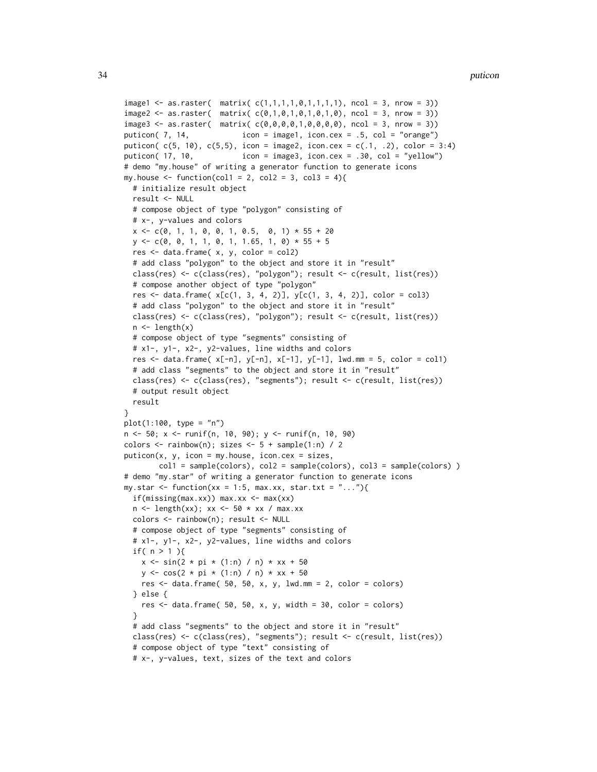```
image1 \leq -as.raster( matrix(c(1,1,1,1,0,1,1,1,1), ncol = 3, nrow = 3))image2 \leq 1 as.raster( matrix( c(0,1,0,1,0,1,0,1,0), ncol = 3, nrow = 3))
images < - as.raster( matrix(c(0,0,0,0,1,0,0,0,0), ncol = 3, nrow = 3))puticon( 7, 14, icon = image1, icon.cex = .5, col = "orange")
puticon( c(5, 10), c(5,5), icon = image2, icon.cex = c(.1, .2), color = 3:4)
puticon( 17, 10, icon = image3, icon.cex = .30, col = "yellow")
# demo "my.house" of writing a generator function to generate icons
my.house \le function(col1 = 2, col2 = 3, col3 = 4){
  # initialize result object
  result <- NULL
  # compose object of type "polygon" consisting of
  # x-, y-values and colors
  x \leq -c(0, 1, 1, 0, 0, 1, 0.5, 0, 1) \times 55 + 20y \leq -c(0, 0, 1, 1, 0, 1, 1.65, 1, 0) * 55 + 5res <- data.frame( x, y, color = col2)
  # add class "polygon" to the object and store it in "result"
  class(res) <- c(class(res), "polygon"); result <- c(result, list(res))
  # compose another object of type "polygon"
  res <- data.frame(x[c(1, 3, 4, 2)], y[c(1, 3, 4, 2)], color = col3)
  # add class "polygon" to the object and store it in "result"
  class(res) <- c(class(res), "polygon"); result <- c(result, list(res))
  n \leftarrow length(x)# compose object of type "segments" consisting of
  # x1-, y1-, x2-, y2-values, line widths and colors
  res \le data.frame(x[-n], y[-n], x[-1], y[-1], lw1mm = 5, color = col1)# add class "segments" to the object and store it in "result"
  class(res) <- c(class(res), "segments"); result <- c(result, list(res))
  # output result object
  result
}
plot(1:100, type = "n")n <- 50; x <- runif(n, 10, 90); y <- runif(n, 10, 90)
colors \le rainbow(n); sizes \le 5 + sample(1:n) / 2
putation(x, y, icon = my.house, icon.csv = sizes,col1 = sample(colors), col2 = sample(colors), col3 = sample(colors) )
# demo "my.star" of writing a generator function to generate icons
my.star <- function(xx = 1:5, max.xx, star.txt = "..."){
  if(missing(max.xx)) max.xx \leq max(xx)
  n \leq length(xx); xx \leq 50 * xx / max.xx
  colors <- rainbow(n); result <- NULL
  # compose object of type "segments" consisting of
  # x1-, y1-, x2-, y2-values, line widths and colors
  if( n > 1 ){
    x \le -\sin(2 \times \pi) \times (1:\pi) / \pi \times xx + 50
    y \le -\cos(2 \times \pi) \times (1:n) / n \times xx + 50res \le data.frame( 50, 50, x, y, lwd.mm = 2, color = colors)
  } else {
    res \le data.frame( 50, 50, x, y, width = 30, color = colors)
  }
  # add class "segments" to the object and store it in "result"
  class(res) <- c(class(res), "segments"); result <- c(result, list(res))
  # compose object of type "text" consisting of
  # x-, y-values, text, sizes of the text and colors
```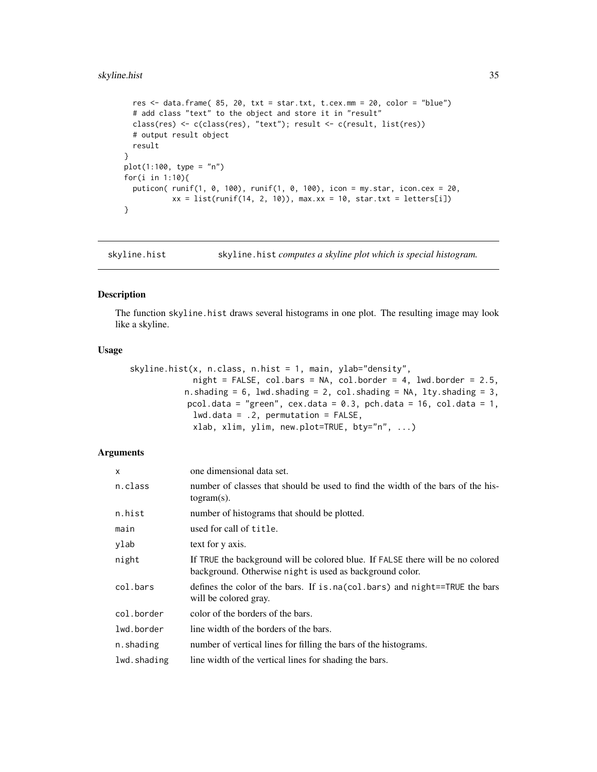## <span id="page-34-0"></span>skyline.hist 35

```
res \le data.frame( 85, 20, txt = star.txt, t.cex.mm = 20, color = "blue")
  # add class "text" to the object and store it in "result"
  class(res) <- c(class(res), "text"); result <- c(result, list(res))
  # output result object
 result
}
plot(1:100, type = "n")for(i in 1:10){
 puticon( runif(1, 0, 100), runif(1, 0, 100), icon = my.star, icon.cex = 20,
          xx = list(runif(14, 2, 10)), max.xx = 10, star.txt = letters[i])
}
```
skyline.hist skyline.hist *computes a skyline plot which is special histogram.*

## Description

The function skyline.hist draws several histograms in one plot. The resulting image may look like a skyline.

#### Usage

```
skyline.hist(x, n.class, n.hist = 1, main, ylab="density",
             night = FALSE, col.bars = NA, col.border = 4, lwd.border = 2.5,n.shading = 6, lwd.shading = 2, col.shading = NA, lty.shading = 3,
           pcol.data = "green", cex.data = 0.3, pch.data = 16, col.data = 1,
            lwd.data = .2, permutation = FALSE,
             xlab, xlim, ylim, new.plot=TRUE, bty="n", ...)
```

| X           | one dimensional data set.                                                                                                                  |
|-------------|--------------------------------------------------------------------------------------------------------------------------------------------|
| n.class     | number of classes that should be used to find the width of the bars of the his-<br>$togram(s)$ .                                           |
| n.hist      | number of histograms that should be plotted.                                                                                               |
| main        | used for call of title.                                                                                                                    |
| ylab        | text for y axis.                                                                                                                           |
| night       | If TRUE the background will be colored blue. If FALSE there will be no colored<br>background. Otherwise night is used as background color. |
| col.bars    | defines the color of the bars. If is na(col.bars) and night==TRUE the bars<br>will be colored gray.                                        |
| col.border  | color of the borders of the bars.                                                                                                          |
| lwd.border  | line width of the borders of the bars.                                                                                                     |
| n.shading   | number of vertical lines for filling the bars of the histograms.                                                                           |
| lwd.shading | line width of the vertical lines for shading the bars.                                                                                     |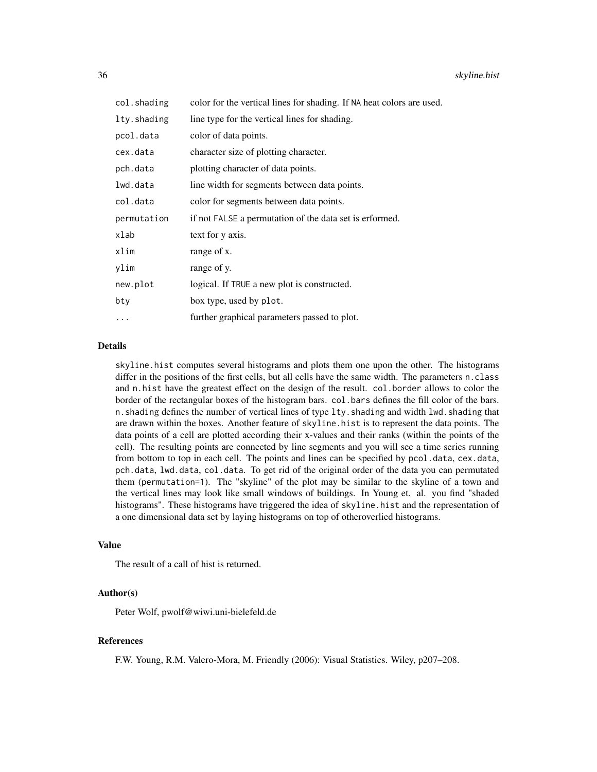| col.shading | color for the vertical lines for shading. If NA heat colors are used. |
|-------------|-----------------------------------------------------------------------|
| lty.shading | line type for the vertical lines for shading.                         |
| pcol.data   | color of data points.                                                 |
| cex.data    | character size of plotting character.                                 |
| pch.data    | plotting character of data points.                                    |
| lwd.data    | line width for segments between data points.                          |
| col.data    | color for segments between data points.                               |
| permutation | if not FALSE a permutation of the data set is erformed.               |
| xlab        | text for y axis.                                                      |
| xlim        | range of x.                                                           |
| ylim        | range of y.                                                           |
| new.plot    | logical. If TRUE a new plot is constructed.                           |
| bty         | box type, used by plot.                                               |
| .           | further graphical parameters passed to plot.                          |

#### Details

skyline.hist computes several histograms and plots them one upon the other. The histograms differ in the positions of the first cells, but all cells have the same width. The parameters n.class and n.hist have the greatest effect on the design of the result. col.border allows to color the border of the rectangular boxes of the histogram bars. col.bars defines the fill color of the bars. n.shading defines the number of vertical lines of type lty.shading and width lwd.shading that are drawn within the boxes. Another feature of skyline.hist is to represent the data points. The data points of a cell are plotted according their x-values and their ranks (within the points of the cell). The resulting points are connected by line segments and you will see a time series running from bottom to top in each cell. The points and lines can be specified by pcol.data, cex.data, pch.data, lwd.data, col.data. To get rid of the original order of the data you can permutated them (permutation=1). The "skyline" of the plot may be similar to the skyline of a town and the vertical lines may look like small windows of buildings. In Young et. al. you find "shaded histograms". These histograms have triggered the idea of skyline.hist and the representation of a one dimensional data set by laying histograms on top of otheroverlied histograms.

#### Value

The result of a call of hist is returned.

#### Author(s)

Peter Wolf, pwolf@wiwi.uni-bielefeld.de

## References

F.W. Young, R.M. Valero-Mora, M. Friendly (2006): Visual Statistics. Wiley, p207–208.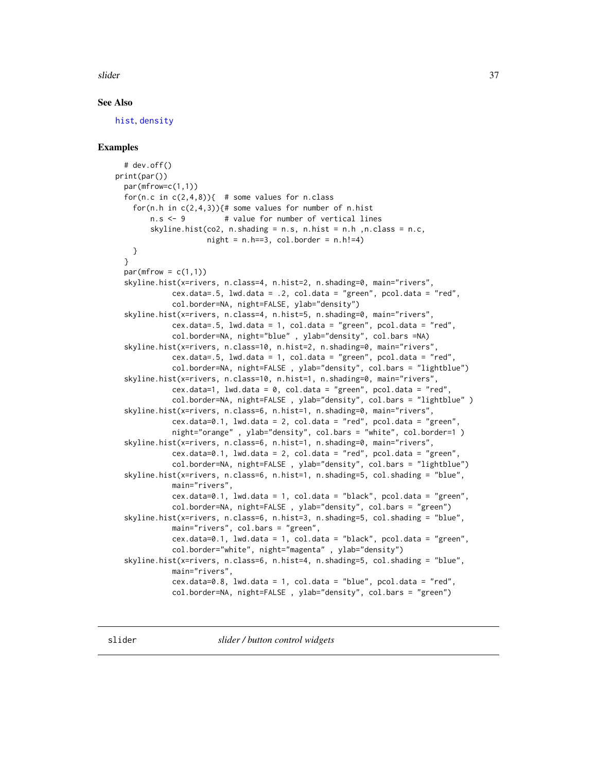<span id="page-36-0"></span>slider 37

## See Also

[hist](#page-0-0), [density](#page-0-0)

## Examples

```
# dev.off()
print(par())
 par(mfrow=c(1,1))
 for(n.c in c(2,4,8)){ # some values for n.class
    for(n.h in c(2,4,3)){# some values for number of n.hist
        n.s <- 9 # value for number of vertical lines
        skyline.hist(co2, n.shading = n.s, n.hist = n.h ,n.class = n.c,
                    night = n.h==3, col.border = n.h!=4)
   }
 }
 par(mfrow = c(1,1))skyline.hist(x=rivers, n.class=4, n.hist=2, n.shading=0, main="rivers",
            cex.data=.5, 1wd.data = .2, col.data = "green", pool.data = "red",col.border=NA, night=FALSE, ylab="density")
  skyline.hist(x=rivers, n.class=4, n.hist=5, n.shading=0, main="rivers",
            cex.data=.5, lwd.data = 1, col.data = "green", pcol.data = "red",
            col.border=NA, night="blue" , ylab="density", col.bars =NA)
  skyline.hist(x=rivers, n.class=10, n.hist=2, n.shading=0, main="rivers",
            cex.data=.5, lwd.data = 1, col.data = "green", pcol.data = "red",
            col.border=NA, night=FALSE , ylab="density", col.bars = "lightblue")
  skyline.hist(x=rivers, n.class=10, n.hist=1, n.shading=0, main="rivers",
            cex.data=1, lwd.data = 0, col.data = "green", pcol.data = "red"
            col.border=NA, night=FALSE , ylab="density", col.bars = "lightblue" )
  skyline.hist(x=rivers, n.class=6, n.hist=1, n.shading=0, main="rivers",
             cex.data=0.1, lwd.data = 2, col.data = "red", pool.data = "green",night="orange" , ylab="density", col.bars = "white", col.border=1 )
  skyline.hist(x=rivers, n.class=6, n.hist=1, n.shading=0, main="rivers",
            cex.data=0.1, lwd.data = 2, col.data = "red", pcol.data = "green",
            col.border=NA, night=FALSE , ylab="density", col.bars = "lightblue")
  skyline.hist(x=rivers, n.class=6, n.hist=1, n.shading=5, col.shading = "blue",
            main="rivers",
            cex.data=0.1, lwd.data = 1, col.data = "black", pcol.data = "green",
            col.border=NA, night=FALSE , ylab="density", col.bars = "green")
  skyline.hist(x=rivers, n.class=6, n.hist=3, n.shading=5, col.shading = "blue",
            main="rivers", col.bars = "green",
            cex.data=0.1, lwd.data = 1, col.data = "black", pcol.data = "green",
            col.border="white", night="magenta" , ylab="density")
  skyline.hist(x=rivers, n.class=6, n.hist=4, n.shading=5, col.shading = "blue",
            main="rivers",
            cex.data=0.8, lwd.data = 1, col.data = "blue", pcol.data = "red",
            col.border=NA, night=FALSE , ylab="density", col.bars = "green")
```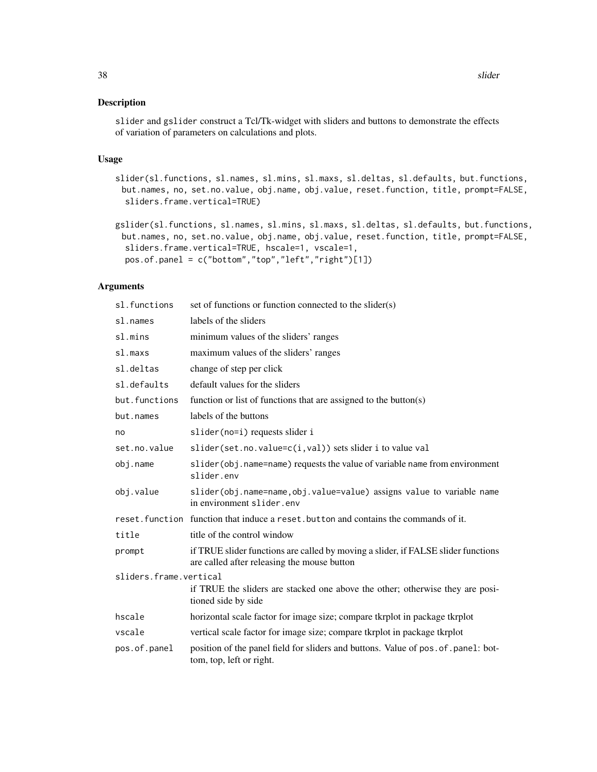## Description

slider and gslider construct a Tcl/Tk-widget with sliders and buttons to demonstrate the effects of variation of parameters on calculations and plots.

#### Usage

- slider(sl.functions, sl.names, sl.mins, sl.maxs, sl.deltas, sl.defaults, but.functions, but.names, no, set.no.value, obj.name, obj.value, reset.function, title, prompt=FALSE, sliders.frame.vertical=TRUE)
- gslider(sl.functions, sl.names, sl.mins, sl.maxs, sl.deltas, sl.defaults, but.functions, but.names, no, set.no.value, obj.name, obj.value, reset.function, title, prompt=FALSE, sliders.frame.vertical=TRUE, hscale=1, vscale=1, pos.of.panel = c("bottom","top","left","right")[1])

| sl.functions           | set of functions or function connected to the slider(s)                                                                          |
|------------------------|----------------------------------------------------------------------------------------------------------------------------------|
| sl.names               | labels of the sliders                                                                                                            |
| sl.mins                | minimum values of the sliders' ranges                                                                                            |
| sl.maxs                | maximum values of the sliders' ranges                                                                                            |
| sl.deltas              | change of step per click                                                                                                         |
| sl.defaults            | default values for the sliders                                                                                                   |
| but.functions          | function or list of functions that are assigned to the button(s)                                                                 |
| but.names              | labels of the buttons                                                                                                            |
| no                     | slider(no=i) requests slider i                                                                                                   |
| set.no.value           | slider(set.no.value=c(i,val)) sets slider i to value val                                                                         |
| obj.name               | slider(obj.name=name) requests the value of variable name from environment<br>slider.env                                         |
| obj.value              | slider(obj.name=name,obj.value=value) assigns value to variable name<br>in environment slider.env                                |
|                        | reset. function function that induce a reset. button and contains the commands of it.                                            |
| title                  | title of the control window                                                                                                      |
| prompt                 | if TRUE slider functions are called by moving a slider, if FALSE slider functions<br>are called after releasing the mouse button |
| sliders.frame.vertical |                                                                                                                                  |
|                        | if TRUE the sliders are stacked one above the other; otherwise they are posi-<br>tioned side by side                             |
| hscale                 | horizontal scale factor for image size; compare tkrplot in package tkrplot                                                       |
| vscale                 | vertical scale factor for image size; compare tkrplot in package tkrplot                                                         |
| pos.of.panel           | position of the panel field for sliders and buttons. Value of pos. of. panel: bot-<br>tom, top, left or right.                   |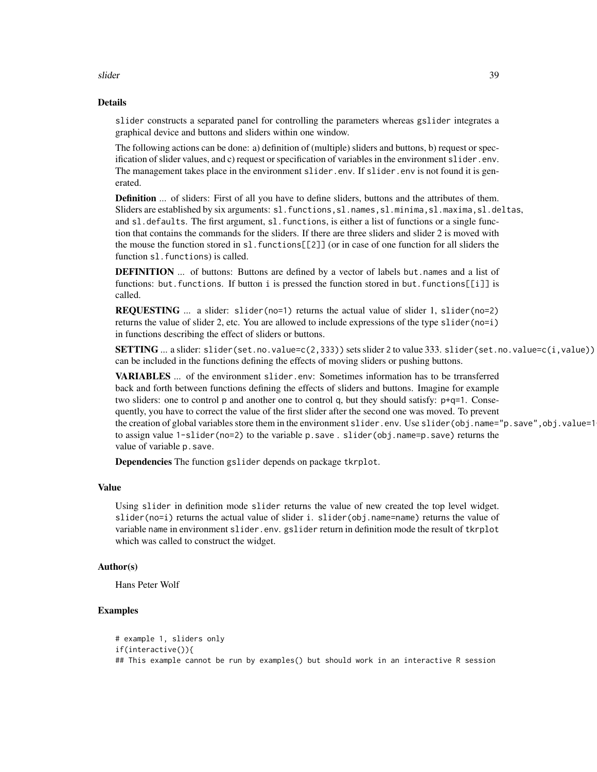slider and the state of the state of the state of the state of the state of the state of the state of the state of the state of the state of the state of the state of the state of the state of the state of the state of the

#### Details

slider constructs a separated panel for controlling the parameters whereas gslider integrates a graphical device and buttons and sliders within one window.

The following actions can be done: a) definition of (multiple) sliders and buttons, b) request or specification of slider values, and c) request or specification of variables in the environment slider. env. The management takes place in the environment slider.env. If slider.env is not found it is generated.

**Definition** ... of sliders: First of all you have to define sliders, buttons and the attributes of them. Sliders are established by six arguments: sl.functions,sl.names,sl.minima,sl.maxima,sl.deltas, and sl.defaults. The first argument, sl. functions, is either a list of functions or a single function that contains the commands for the sliders. If there are three sliders and slider 2 is moved with the mouse the function stored in sl. functions  $[[2]]$  (or in case of one function for all sliders the function sl.functions) is called.

**DEFINITION** ... of buttons: Buttons are defined by a vector of labels but.names and a list of functions: but.functions. If button i is pressed the function stored in but.functions[[i]] is called.

**REQUESTING** ... a slider: slider(no=1) returns the actual value of slider 1, slider(no=2) returns the value of slider 2, etc. You are allowed to include expressions of the type slider (no=i) in functions describing the effect of sliders or buttons.

**... a slider: slider(set.no.value=c(2,333)) sets slider 2 to value 333. slider(set.no.value=c(i,value))** can be included in the functions defining the effects of moving sliders or pushing buttons.

VARIABLES ... of the environment slider.env: Sometimes information has to be trransferred back and forth between functions defining the effects of sliders and buttons. Imagine for example two sliders: one to control p and another one to control q, but they should satisfy: p+q=1. Consequently, you have to correct the value of the first slider after the second one was moved. To prevent the creation of global variables store them in the environment slider.env. Use slider(obj.name="p.save",obj.value=1 to assign value 1-slider(no=2) to the variable p.save . slider(obj.name=p.save) returns the value of variable p.save.

Dependencies The function gslider depends on package tkrplot.

#### Value

Using slider in definition mode slider returns the value of new created the top level widget. slider(no=i) returns the actual value of slider i. slider(obj.name=name) returns the value of variable name in environment slider.env. gslider return in definition mode the result of tkrplot which was called to construct the widget.

#### Author(s)

Hans Peter Wolf

## Examples

```
# example 1, sliders only
if(interactive()){
## This example cannot be run by examples() but should work in an interactive R session
```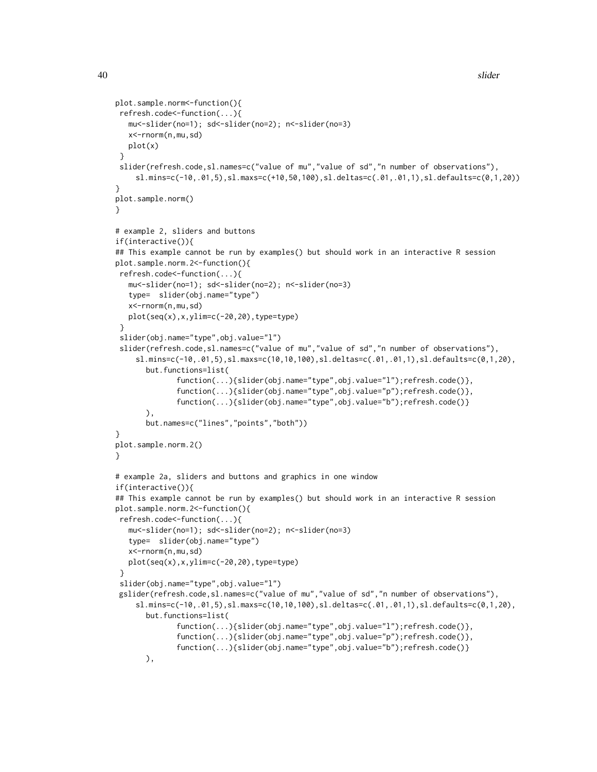```
plot.sample.norm<-function(){
refresh.code<-function(...){
  mu<-slider(no=1); sd<-slider(no=2); n<-slider(no=3)
  x<-rnorm(n,mu,sd)
  plot(x)
}
 slider(refresh.code,sl.names=c("value of mu","value of sd","n number of observations"),
    sl.mins=c(-10,.01,5),sl.maxs=c(+10,50,100),sl.deltas=c(.01,.01,1),sl.defaults=c(0,1,20))
}
plot.sample.norm()
}
# example 2, sliders and buttons
if(interactive()){
## This example cannot be run by examples() but should work in an interactive R session
plot.sample.norm.2<-function(){
refresh.code<-function(...){
  mu<-slider(no=1); sd<-slider(no=2); n<-slider(no=3)
   type= slider(obj.name="type")
  x<-rnorm(n,mu,sd)
  plot(seq(x),x,ylim=c(-20,20),type=type)
 }
 slider(obj.name="type",obj.value="l")
 slider(refresh.code,sl.names=c("value of mu","value of sd","n number of observations"),
    sl.mins=c(-10,.01,5),sl.maxs=c(10,10,100),sl.deltas=c(.01,.01,1),sl.defaults=c(0,1,20),
      but.functions=list(
              function(...){slider(obj.name="type",obj.value="l");refresh.code()},
              function(...){slider(obj.name="type",obj.value="p");refresh.code()},
              function(...){slider(obj.name="type",obj.value="b");refresh.code()}
      ),
      but.names=c("lines","points","both"))
}
plot.sample.norm.2()
}
# example 2a, sliders and buttons and graphics in one window
if(interactive()){
## This example cannot be run by examples() but should work in an interactive R session
plot.sample.norm.2<-function(){
refresh.code<-function(...){
  mu<-slider(no=1); sd<-slider(no=2); n<-slider(no=3)
   type= slider(obj.name="type")
  x<-rnorm(n,mu,sd)
  plot(seq(x),x,ylim=c(-20,20),type=type)
 }
 slider(obj.name="type",obj.value="l")
gslider(refresh.code,sl.names=c("value of mu","value of sd","n number of observations"),
    sl.mins=c(-10,.01,5),sl.maxs=c(10,10,100),sl.deltas=c(.01,.01,1),sl.defaults=c(0,1,20),
      but.functions=list(
              function(...){slider(obj.name="type",obj.value="l");refresh.code()},
              function(...){slider(obj.name="type",obj.value="p");refresh.code()},
              function(...){slider(obj.name="type",obj.value="b");refresh.code()}
      ),
```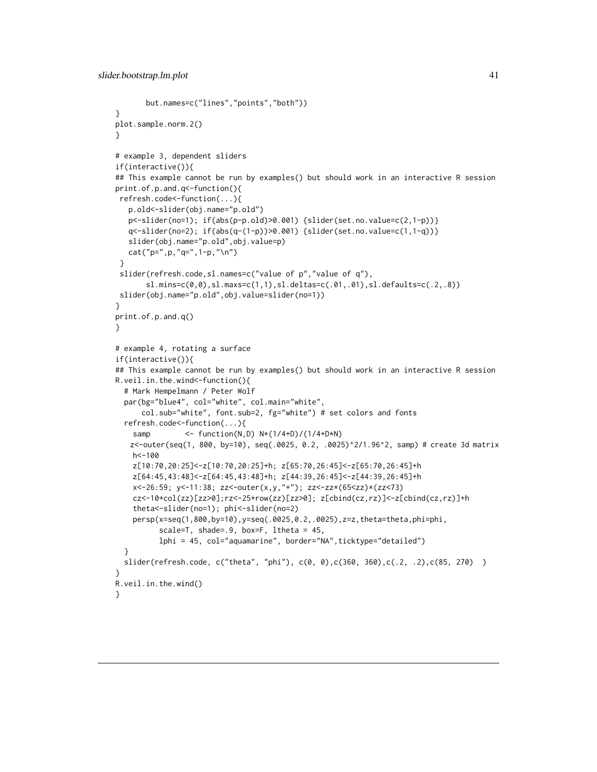```
but.names=c("lines","points","both"))
}
plot.sample.norm.2()
}
# example 3, dependent sliders
if(interactive()){
## This example cannot be run by examples() but should work in an interactive R session
print.of.p.and.q<-function(){
 refresh.code<-function(...){
   p.old<-slider(obj.name="p.old")
   p<-slider(no=1); if(abs(p-p.old)>0.001) {slider(set.no.value=c(2,1-p))}
   q<-slider(no=2); if(abs(q-(1-p))>0.001) {slider(set.no.value=c(1,1-q))}
   slider(obj.name="p.old",obj.value=p)
  cat("p=",p,"q=",1-p,"\n")
 }
 slider(refresh.code,sl.names=c("value of p","value of q"),
       sl.mins=c(0,0),sl.maxs=c(1,1),sl.deltas=c(.01,.01),sl.defaults=c(.2,.8))
 slider(obj.name="p.old",obj.value=slider(no=1))
}
print.of.p.and.q()
}
# example 4, rotating a surface
if(interactive()){
## This example cannot be run by examples() but should work in an interactive R session
R.veil.in.the.wind<-function(){
  # Mark Hempelmann / Peter Wolf
  par(bg="blue4", col="white", col.main="white",
      col.sub="white", font.sub=2, fg="white") # set colors and fonts
  refresh.code<-function(...){
    samp <- function(N,D) N*(1/4+D)/(1/4+D*N)
   z<-outer(seq(1, 800, by=10), seq(.0025, 0.2, .0025)^2/1.96^2, samp) # create 3d matrix
   h<-100
    z[10:70,20:25]<-z[10:70,20:25]+h; z[65:70,26:45]<-z[65:70,26:45]+h
   z[64:45,43:48]<-z[64:45,43:48]+h; z[44:39,26:45]<-z[44:39,26:45]+h
   x<-26:59; y<-11:38; zz<-outer(x,y,"+"); zz<-zz*(65<zz)*(zz<73)
    cz<-10+col(zz)[zz>0];rz<-25+row(zz)[zz>0]; z[cbind(cz,rz)]<-z[cbind(cz,rz)]+h
    theta<-slider(no=1); phi<-slider(no=2)
    persp(x=seq(1,800,by=10),y=seq(.0025,0.2,.0025),z=z,theta=theta,phi=phi,
          scale=T, shade=.9, box=F, ltheta = 45,
          lphi = 45, col="aquamarine", border="NA",ticktype="detailed")
  }
  slider(refresh.code, c("theta", "phi"), c(0, 0),c(360, 360),c(.2, .2),c(85, 270) )
}
R.veil.in.the.wind()
}
```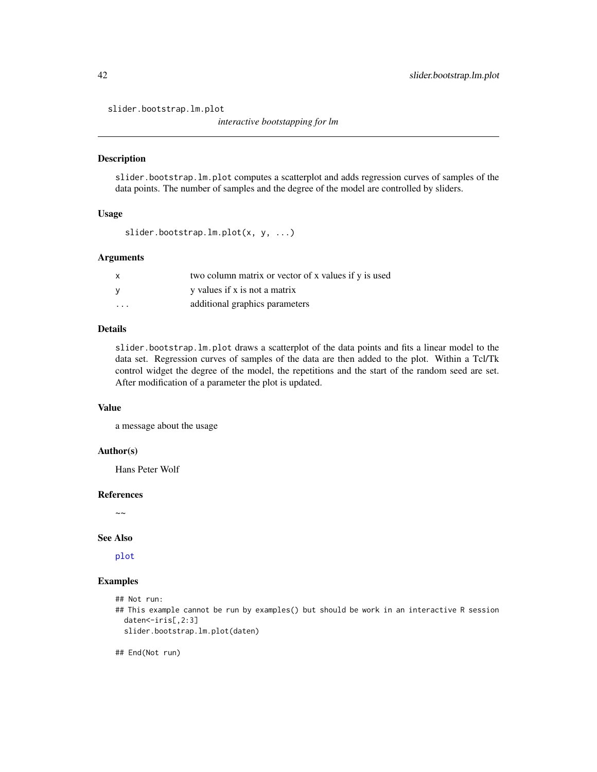<span id="page-41-0"></span>slider.bootstrap.lm.plot

*interactive bootstapping for lm*

#### Description

slider.bootstrap.lm.plot computes a scatterplot and adds regression curves of samples of the data points. The number of samples and the degree of the model are controlled by sliders.

## Usage

```
slider.bootstrap.lm.plot(x, y, ...)
```
#### **Arguments**

| X        | two column matrix or vector of x values if y is used |
|----------|------------------------------------------------------|
| <b>V</b> | y values if x is not a matrix                        |
| .        | additional graphics parameters                       |

#### Details

slider.bootstrap.lm.plot draws a scatterplot of the data points and fits a linear model to the data set. Regression curves of samples of the data are then added to the plot. Within a Tcl/Tk control widget the degree of the model, the repetitions and the start of the random seed are set. After modification of a parameter the plot is updated.

## Value

a message about the usage

## Author(s)

Hans Peter Wolf

#### References

 $\sim$  ~

#### See Also

[plot](#page-0-0)

## Examples

```
## Not run:
```
## This example cannot be run by examples() but should be work in an interactive R session daten<-iris[,2:3]

slider.bootstrap.lm.plot(daten)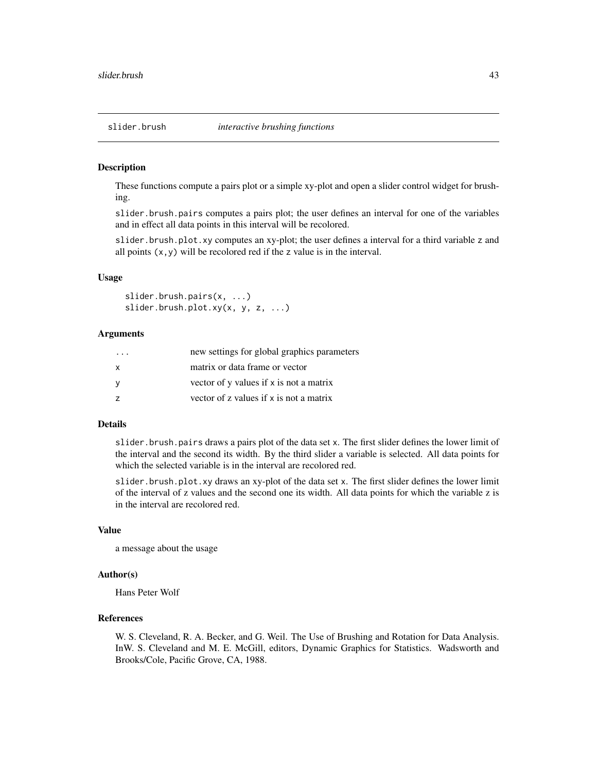#### <span id="page-42-0"></span>Description

These functions compute a pairs plot or a simple xy-plot and open a slider control widget for brushing.

slider.brush.pairs computes a pairs plot; the user defines an interval for one of the variables and in effect all data points in this interval will be recolored.

slider.brush.plot.xy computes an xy-plot; the user defines a interval for a third variable z and all points  $(x, y)$  will be recolored red if the z value is in the interval.

#### Usage

slider.brush.pairs(x, ...) slider.brush.plot.xy(x, y, z, ...)

## Arguments

| $\cdot$ $\cdot$ $\cdot$ | new settings for global graphics parameters |
|-------------------------|---------------------------------------------|
| $\mathsf{x}$            | matrix or data frame or vector              |
| - V                     | vector of y values if x is not a matrix     |
|                         | vector of z values if x is not a matrix     |

## Details

slider.brush.pairs draws a pairs plot of the data set x. The first slider defines the lower limit of the interval and the second its width. By the third slider a variable is selected. All data points for which the selected variable is in the interval are recolored red.

slider.brush.plot.xy draws an xy-plot of the data set x. The first slider defines the lower limit of the interval of z values and the second one its width. All data points for which the variable z is in the interval are recolored red.

## Value

a message about the usage

#### Author(s)

Hans Peter Wolf

## References

W. S. Cleveland, R. A. Becker, and G. Weil. The Use of Brushing and Rotation for Data Analysis. InW. S. Cleveland and M. E. McGill, editors, Dynamic Graphics for Statistics. Wadsworth and Brooks/Cole, Pacific Grove, CA, 1988.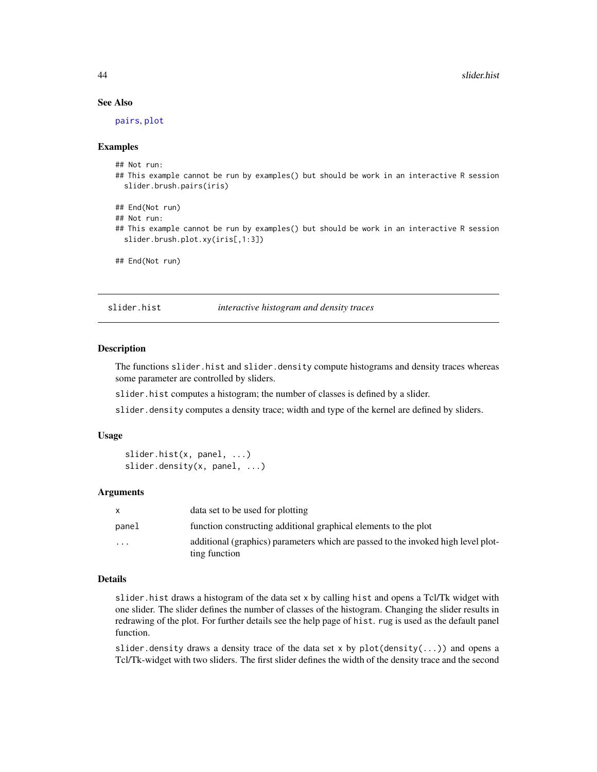## See Also

[pairs](#page-0-0), [plot](#page-0-0)

#### Examples

```
## Not run:
```
- ## This example cannot be run by examples() but should be work in an interactive R session slider.brush.pairs(iris)
- ## End(Not run)
- ## Not run:
- ## This example cannot be run by examples() but should be work in an interactive R session slider.brush.plot.xy(iris[,1:3])

```
## End(Not run)
```
slider.hist *interactive histogram and density traces*

#### Description

The functions slider.hist and slider.density compute histograms and density traces whereas some parameter are controlled by sliders.

slider.hist computes a histogram; the number of classes is defined by a slider.

slider.density computes a density trace; width and type of the kernel are defined by sliders.

#### Usage

```
slider.hist(x, panel, ...)
slider.density(x, panel, ...)
```
#### Arguments

|                         | data set to be used for plotting                                                                   |
|-------------------------|----------------------------------------------------------------------------------------------------|
| panel                   | function constructing additional graphical elements to the plot                                    |
| $\cdot$ $\cdot$ $\cdot$ | additional (graphics) parameters which are passed to the invoked high level plot-<br>ting function |

## Details

slider.hist draws a histogram of the data set x by calling hist and opens a Tcl/Tk widget with one slider. The slider defines the number of classes of the histogram. Changing the slider results in redrawing of the plot. For further details see the help page of hist. rug is used as the default panel function.

slider.density draws a density trace of the data set x by  $plot(density(...))$  and opens a Tcl/Tk-widget with two sliders. The first slider defines the width of the density trace and the second

<span id="page-43-0"></span>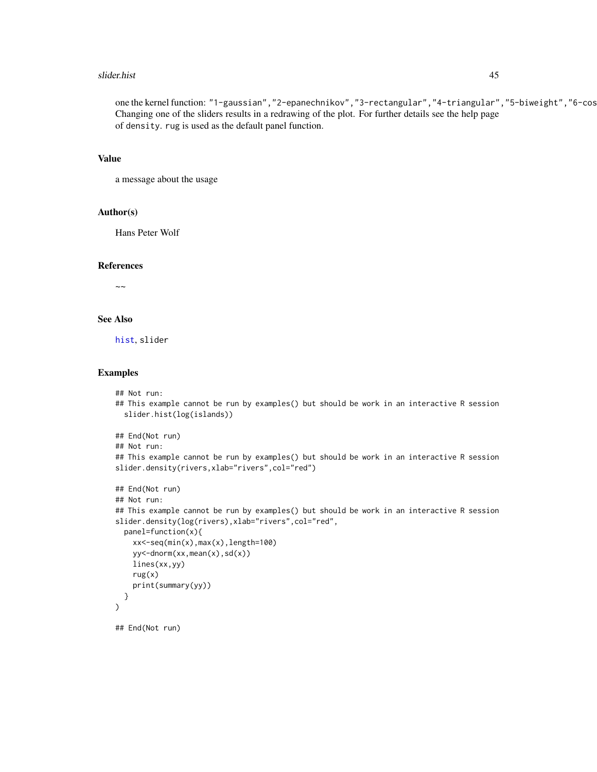#### <span id="page-44-0"></span>slider.hist 45

one the kernel function: "1-gaussian", "2-epanechnikov", "3-rectangular", "4-triangular", "5-biweight", "6-cos Changing one of the sliders results in a redrawing of the plot. For further details see the help page of density. rug is used as the default panel function.

#### Value

a message about the usage

#### Author(s)

Hans Peter Wolf

#### References

 $\sim$  ~

## See Also

[hist](#page-0-0), slider

#### Examples

```
## Not run:
## This example cannot be run by examples() but should be work in an interactive R session
 slider.hist(log(islands))
```

```
## End(Not run)
## Not run:
## This example cannot be run by examples() but should be work in an interactive R session
slider.density(rivers,xlab="rivers",col="red")
## End(Not run)
```

```
## Not run:
## This example cannot be run by examples() but should be work in an interactive R session
slider.density(log(rivers),xlab="rivers",col="red",
  panel=function(x){
   xx<-seq(min(x),max(x),length=100)
   yy<-dnorm(xx,mean(x),sd(x))
   lines(xx,yy)
   rug(x)
   print(summary(yy))
  }
)
## End(Not run)
```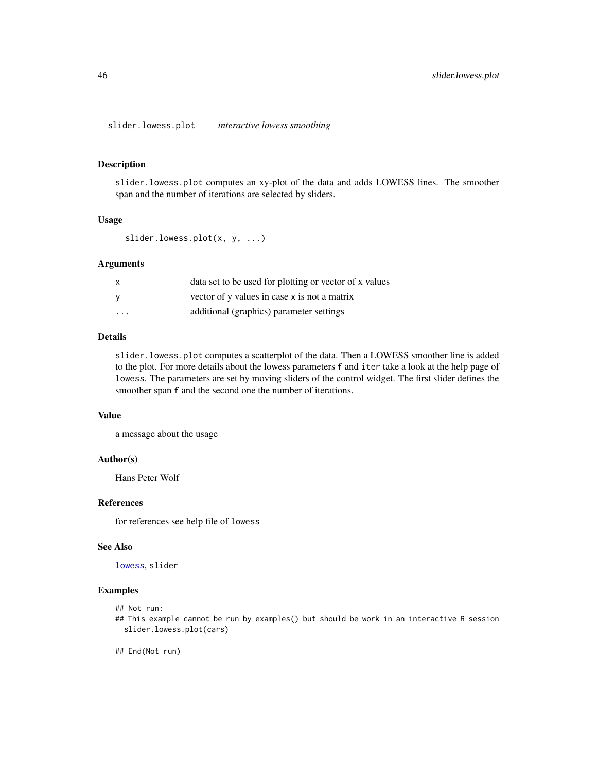<span id="page-45-0"></span>slider.lowess.plot *interactive lowess smoothing*

#### Description

slider.lowess.plot computes an xy-plot of the data and adds LOWESS lines. The smoother span and the number of iterations are selected by sliders.

## Usage

```
slider.lowess.plot(x, y, ...)
```
#### Arguments

| X                       | data set to be used for plotting or vector of x values |
|-------------------------|--------------------------------------------------------|
|                         | vector of y values in case x is not a matrix           |
| $\cdot$ $\cdot$ $\cdot$ | additional (graphics) parameter settings               |

## Details

slider.lowess.plot computes a scatterplot of the data. Then a LOWESS smoother line is added to the plot. For more details about the lowess parameters f and iter take a look at the help page of lowess. The parameters are set by moving sliders of the control widget. The first slider defines the smoother span f and the second one the number of iterations.

## Value

a message about the usage

#### Author(s)

Hans Peter Wolf

## References

for references see help file of lowess

#### See Also

[lowess](#page-0-0), slider

## Examples

```
## Not run:
```
## This example cannot be run by examples() but should be work in an interactive R session slider.lowess.plot(cars)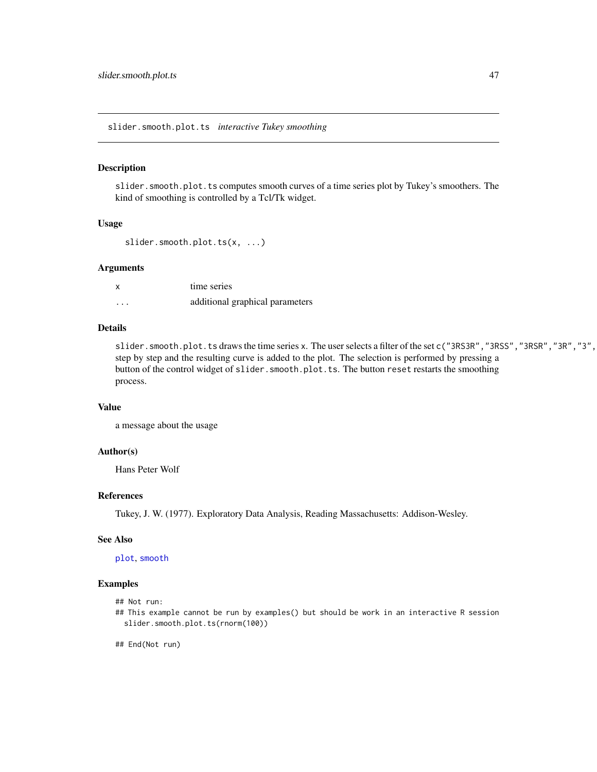<span id="page-46-0"></span>slider.smooth.plot.ts *interactive Tukey smoothing*

#### Description

slider.smooth.plot.ts computes smooth curves of a time series plot by Tukey's smoothers. The kind of smoothing is controlled by a Tcl/Tk widget.

#### Usage

```
slider.smooth.plot.ts(x, ...)
```
## Arguments

| X        | time series                     |
|----------|---------------------------------|
| $\cdots$ | additional graphical parameters |

## Details

slider.smooth.plot.ts draws the time series x. The user selects a filter of the set c("3RS3R","3RSS","3RSR","3R","3", step by step and the resulting curve is added to the plot. The selection is performed by pressing a button of the control widget of slider.smooth.plot.ts. The button reset restarts the smoothing process.

#### Value

a message about the usage

#### Author(s)

Hans Peter Wolf

#### References

Tukey, J. W. (1977). Exploratory Data Analysis, Reading Massachusetts: Addison-Wesley.

#### See Also

[plot](#page-0-0), [smooth](#page-0-0)

## Examples

## Not run:

## This example cannot be run by examples() but should be work in an interactive R session slider.smooth.plot.ts(rnorm(100))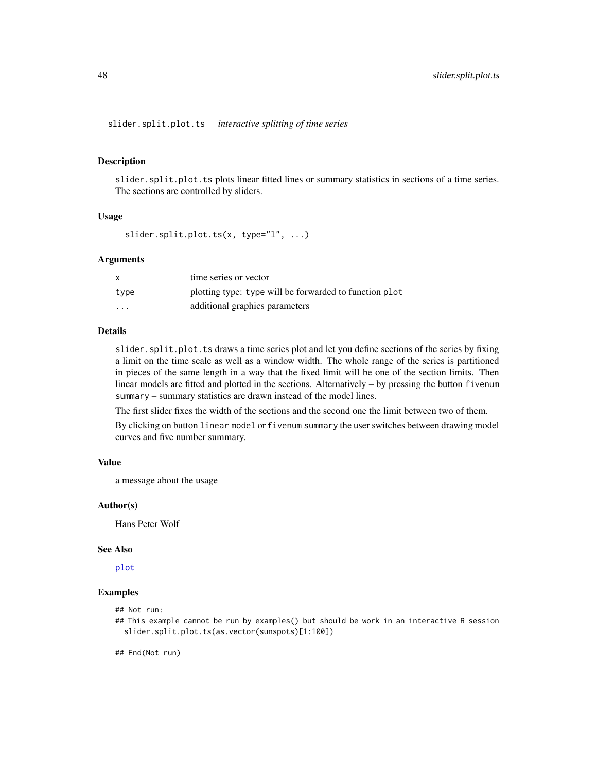<span id="page-47-0"></span>slider.split.plot.ts *interactive splitting of time series*

## Description

slider.split.plot.ts plots linear fitted lines or summary statistics in sections of a time series. The sections are controlled by sliders.

#### Usage

```
slider.split.plot.ts(x, type="l", ...)
```
#### **Arguments**

| X        | time series or vector                                  |
|----------|--------------------------------------------------------|
| type     | plotting type: type will be forwarded to function plot |
| $\cdots$ | additional graphics parameters                         |

#### Details

slider. split.plot.ts draws a time series plot and let you define sections of the series by fixing a limit on the time scale as well as a window width. The whole range of the series is partitioned in pieces of the same length in a way that the fixed limit will be one of the section limits. Then linear models are fitted and plotted in the sections. Alternatively – by pressing the button fivenum summary – summary statistics are drawn instead of the model lines.

The first slider fixes the width of the sections and the second one the limit between two of them.

By clicking on button linear model or fivenum summary the user switches between drawing model curves and five number summary.

#### Value

a message about the usage

#### Author(s)

Hans Peter Wolf

#### See Also

[plot](#page-0-0)

#### Examples

```
## Not run:
```
## This example cannot be run by examples() but should be work in an interactive R session slider.split.plot.ts(as.vector(sunspots)[1:100])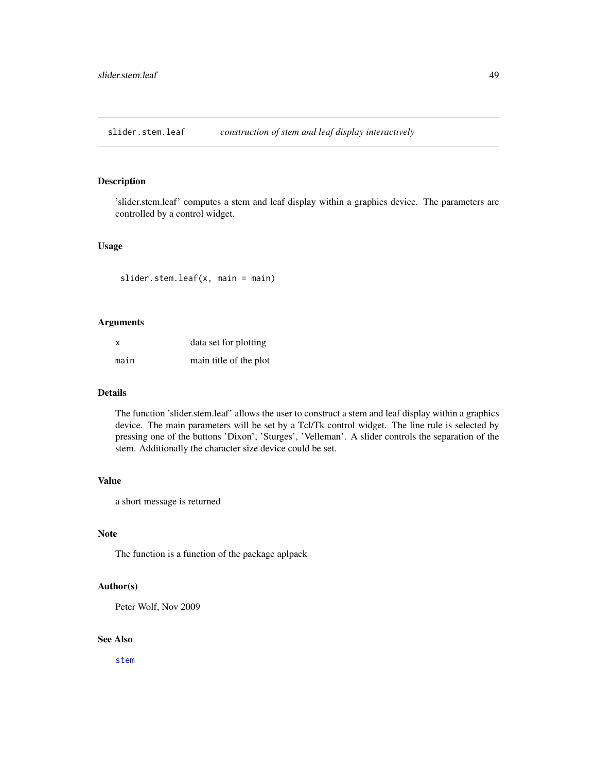<span id="page-48-0"></span>slider.stem.leaf *construction of stem and leaf display interactively*

## Description

'slider.stem.leaf' computes a stem and leaf display within a graphics device. The parameters are controlled by a control widget.

## Usage

slider.stem.leaf(x, main = main)

## Arguments

| X    | data set for plotting  |
|------|------------------------|
| main | main title of the plot |

#### Details

The function 'slider.stem.leaf' allows the user to construct a stem and leaf display within a graphics device. The main parameters will be set by a Tcl/Tk control widget. The line rule is selected by pressing one of the buttons 'Dixon', 'Sturges', 'Velleman'. A slider controls the separation of the stem. Additionally the character size device could be set.

## Value

a short message is returned

## Note

The function is a function of the package aplpack

#### Author(s)

Peter Wolf, Nov 2009

## See Also

[stem](#page-0-0)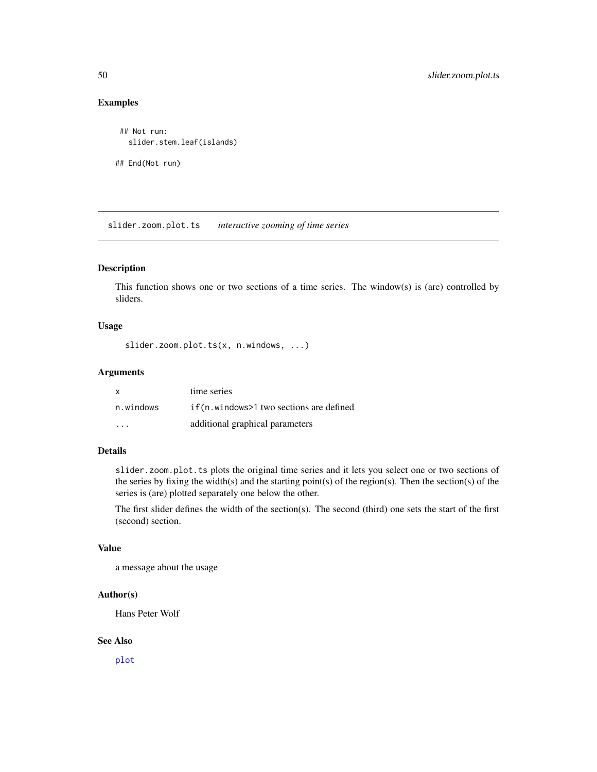## <span id="page-49-0"></span>Examples

```
## Not run:
  slider.stem.leaf(islands)
## End(Not run)
```
slider.zoom.plot.ts *interactive zooming of time series*

## Description

This function shows one or two sections of a time series. The window(s) is (are) controlled by sliders.

#### Usage

slider.zoom.plot.ts(x, n.windows, ...)

#### Arguments

| X         | time series                              |
|-----------|------------------------------------------|
| n.windows | if (n.windows>1 two sections are defined |
| .         | additional graphical parameters          |

## Details

slider.zoom.plot.ts plots the original time series and it lets you select one or two sections of the series by fixing the width(s) and the starting point(s) of the region(s). Then the section(s) of the series is (are) plotted separately one below the other.

The first slider defines the width of the section(s). The second (third) one sets the start of the first (second) section.

## Value

a message about the usage

## Author(s)

Hans Peter Wolf

#### See Also

[plot](#page-0-0)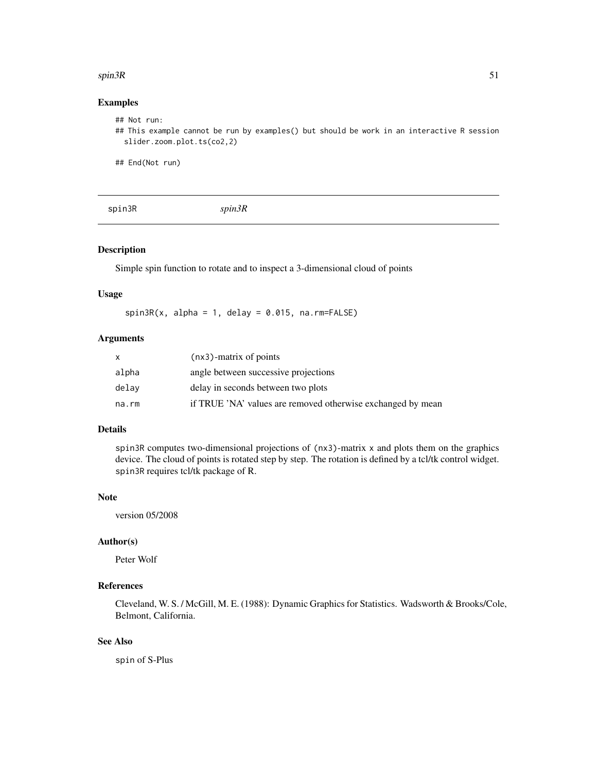#### <span id="page-50-0"></span> $spin3R$  51

## Examples

```
## Not run:
## This example cannot be run by examples() but should be work in an interactive R session
  slider.zoom.plot.ts(co2,2)
```
## End(Not run)

spin3R *spin3R*

## Description

Simple spin function to rotate and to inspect a 3-dimensional cloud of points

## Usage

 $spin3R(x, alpha = 1, delay = 0.015, na.rm=FALSE)$ 

## Arguments

| X.    | (nx3)-matrix of points                                      |
|-------|-------------------------------------------------------------|
| alpha | angle between successive projections                        |
| delay | delay in seconds between two plots                          |
| na.rm | if TRUE 'NA' values are removed otherwise exchanged by mean |

## Details

spin3R computes two-dimensional projections of (nx3)-matrix x and plots them on the graphics device. The cloud of points is rotated step by step. The rotation is defined by a tcl/tk control widget. spin3R requires tcl/tk package of R.

#### **Note**

version 05/2008

## Author(s)

Peter Wolf

## References

Cleveland, W. S. / McGill, M. E. (1988): Dynamic Graphics for Statistics. Wadsworth & Brooks/Cole, Belmont, California.

## See Also

spin of S-Plus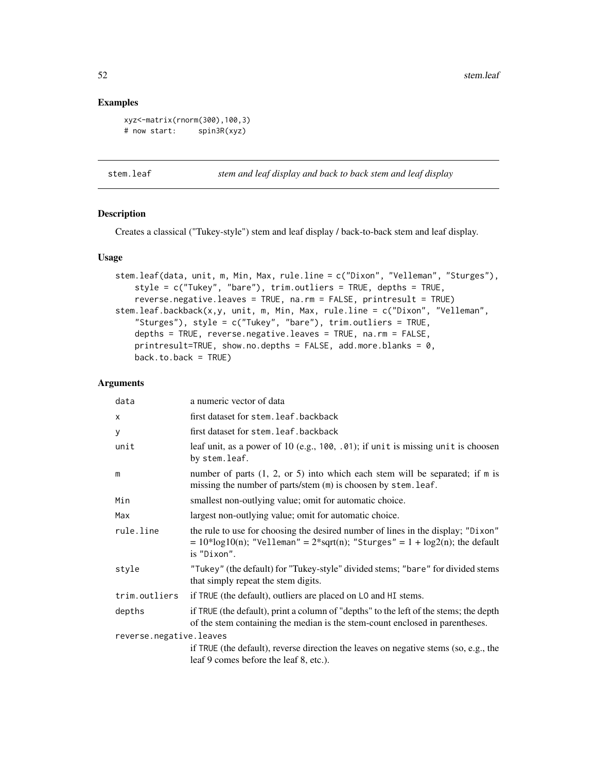## <span id="page-51-0"></span>Examples

```
xyz<-matrix(rnorm(300),100,3)
# now start: spin3R(xyz)
```
stem.leaf *stem and leaf display and back to back stem and leaf display*

#### Description

Creates a classical ("Tukey-style") stem and leaf display / back-to-back stem and leaf display.

## Usage

```
stem.leaf(data, unit, m, Min, Max, rule.line = c("Dixon", "Velleman", "Sturges"),
   style = c("Tukey", "bare"), trim.outliers = TRUE, depths = TRUE,
    reverse.negative.leaves = TRUE, na.rm = FALSE, printresult = TRUE)
stem.leaf.backback(x,y, unit, m, Min, Max, rule.line = c("Dixon", "Velleman",
    "Sturges"), style = c("Tukey", "bare"), trim.outliers = TRUE,
    depths = TRUE, reverse.negative.leaves = TRUE, na.rm = FALSE,
   printresult=TRUE, show.no.depths = FALSE, add.more.blanks = 0,
   back.to.back = TRUE
```

| data                    | a numeric vector of data                                                                                                                                                          |
|-------------------------|-----------------------------------------------------------------------------------------------------------------------------------------------------------------------------------|
| X                       | first dataset for stem. leaf. backback                                                                                                                                            |
| У                       | first dataset for stem. leaf. backback                                                                                                                                            |
| unit                    | leaf unit, as a power of 10 (e.g., 100, .01); if unit is missing unit is choosen<br>by stem.leaf.                                                                                 |
| m                       | number of parts $(1, 2, \text{or } 5)$ into which each stem will be separated; if m is<br>missing the number of parts/stem (m) is choosen by stem. leaf.                          |
| Min                     | smallest non-outlying value; omit for automatic choice.                                                                                                                           |
| Max                     | largest non-outlying value; omit for automatic choice.                                                                                                                            |
| rule.line               | the rule to use for choosing the desired number of lines in the display; "Dixon"<br>$= 10*log10(n)$ ; "Velleman" = 2*sqrt(n); "Sturges" = 1 + log2(n); the default<br>is "Dixon". |
| style                   | "Tukey" (the default) for "Tukey-style" divided stems; "bare" for divided stems<br>that simply repeat the stem digits.                                                            |
| trim.outliers           | if TRUE (the default), outliers are placed on LO and HI stems.                                                                                                                    |
| depths                  | if TRUE (the default), print a column of "depths" to the left of the stems; the depth<br>of the stem containing the median is the stem-count enclosed in parentheses.             |
| reverse.negative.leaves |                                                                                                                                                                                   |
|                         | if TRUE (the default), reverse direction the leaves on negative stems (so, e.g., the<br>leaf 9 comes before the leaf 8, etc.).                                                    |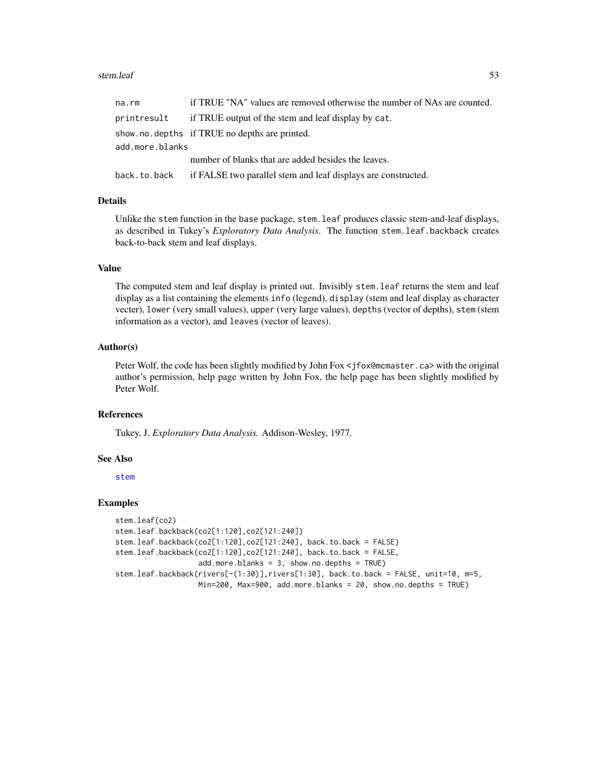#### <span id="page-52-0"></span>stem.leaf 53

| na.rm           | if TRUE "NA" values are removed otherwise the number of NAs are counted. |
|-----------------|--------------------------------------------------------------------------|
| printresult     | if TRUE output of the stem and leaf display by cat.                      |
|                 | show.no.depths if TRUE no depths are printed.                            |
| add.more.blanks |                                                                          |
|                 | number of blanks that are added besides the leaves.                      |
| back.to.back    | if FALSE two parallel stem and leaf displays are constructed.            |

#### Details

Unlike the stem function in the base package, stem.leaf produces classic stem-and-leaf displays, as described in Tukey's *Exploratory Data Analysis*. The function stem.leaf.backback creates back-to-back stem and leaf displays.

## Value

The computed stem and leaf display is printed out. Invisibly stem.leaf returns the stem and leaf display as a list containing the elements info (legend), display (stem and leaf display as character vecter), lower (very small values), upper (very large values), depths (vector of depths), stem (stem information as a vector), and leaves (vector of leaves).

### Author(s)

Peter Wolf, the code has been slightly modified by John Fox <jfox@mcmaster.ca> with the original author's permission, help page written by John Fox, the help page has been slightly modified by Peter Wolf.

#### References

Tukey, J. *Exploratory Data Analysis.* Addison-Wesley, 1977.

#### See Also

[stem](#page-0-0)

#### Examples

```
stem.leaf(co2)
stem.leaf.backback(co2[1:120],co2[121:240])
stem.leaf.backback(co2[1:120],co2[121:240], back.to.back = FALSE)
stem.leaf.backback(co2[1:120],co2[121:240], back.to.back = FALSE,
                   add.more.blanks = 3, show.no.depths = TRUE)
stem.leaf.backback(rivers[-(1:30)],rivers[1:30], back.to.back = FALSE, unit=10, m=5,
                  Min=200, Max=900, add.more.blanks = 20, show.no.depths = TRUE)
```